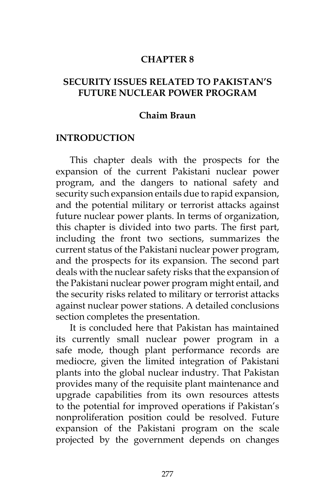#### **CHAPTER 8**

### **SECURITY ISSUES RELATED TO PAKISTAN'S FUTURE NUCLEAR POWER PROGRAM**

#### **Chaim Braun**

#### **INTRODUCTION**

This chapter deals with the prospects for the expansion of the current Pakistani nuclear power program, and the dangers to national safety and security such expansion entails due to rapid expansion, and the potential military or terrorist attacks against future nuclear power plants. In terms of organization, this chapter is divided into two parts. The first part, including the front two sections, summarizes the current status of the Pakistani nuclear power program, and the prospects for its expansion. The second part deals with the nuclear safety risks that the expansion of the Pakistani nuclear power program might entail, and the security risks related to military or terrorist attacks against nuclear power stations. A detailed conclusions section completes the presentation.

It is concluded here that Pakistan has maintained its currently small nuclear power program in a safe mode, though plant performance records are mediocre, given the limited integration of Pakistani plants into the global nuclear industry. That Pakistan provides many of the requisite plant maintenance and upgrade capabilities from its own resources attests to the potential for improved operations if Pakistan's nonproliferation position could be resolved. Future expansion of the Pakistani program on the scale projected by the government depends on changes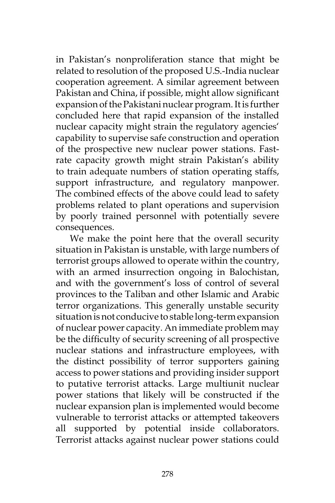in Pakistan's nonproliferation stance that might be related to resolution of the proposed U.S.-India nuclear cooperation agreement. A similar agreement between Pakistan and China, if possible, might allow significant expansion of the Pakistani nuclear program. It is further concluded here that rapid expansion of the installed nuclear capacity might strain the regulatory agencies' capability to supervise safe construction and operation of the prospective new nuclear power stations. Fastrate capacity growth might strain Pakistan's ability to train adequate numbers of station operating staffs, support infrastructure, and regulatory manpower. The combined effects of the above could lead to safety problems related to plant operations and supervision by poorly trained personnel with potentially severe consequences.

We make the point here that the overall security situation in Pakistan is unstable, with large numbers of terrorist groups allowed to operate within the country, with an armed insurrection ongoing in Balochistan, and with the government's loss of control of several provinces to the Taliban and other Islamic and Arabic terror organizations. This generally unstable security situation is not conducive to stable long-term expansion of nuclear power capacity. An immediate problem may be the difficulty of security screening of all prospective nuclear stations and infrastructure employees, with the distinct possibility of terror supporters gaining access to power stations and providing insider support to putative terrorist attacks. Large multiunit nuclear power stations that likely will be constructed if the nuclear expansion plan is implemented would become vulnerable to terrorist attacks or attempted takeovers all supported by potential inside collaborators. Terrorist attacks against nuclear power stations could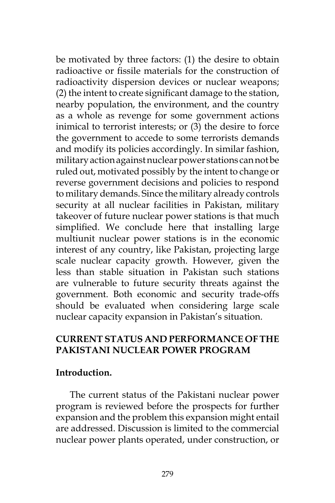be motivated by three factors: (1) the desire to obtain radioactive or fissile materials for the construction of radioactivity dispersion devices or nuclear weapons; (2) the intent to create significant damage to the station, nearby population, the environment, and the country as a whole as revenge for some government actions inimical to terrorist interests; or (3) the desire to force the government to accede to some terrorists demands and modify its policies accordingly. In similar fashion, military action against nuclear power stations can not be ruled out, motivated possibly by the intent to change or reverse government decisions and policies to respond to military demands. Since the military already controls security at all nuclear facilities in Pakistan, military takeover of future nuclear power stations is that much simplified. We conclude here that installing large multiunit nuclear power stations is in the economic interest of any country, like Pakistan, projecting large scale nuclear capacity growth. However, given the less than stable situation in Pakistan such stations are vulnerable to future security threats against the government. Both economic and security trade-offs should be evaluated when considering large scale nuclear capacity expansion in Pakistan's situation.

# **CURRENT STATUS AND PERFORMANCE OF THE PAKISTANI NUCLEAR POWER PROGRAM**

### **Introduction.**

The current status of the Pakistani nuclear power program is reviewed before the prospects for further expansion and the problem this expansion might entail are addressed. Discussion is limited to the commercial nuclear power plants operated, under construction, or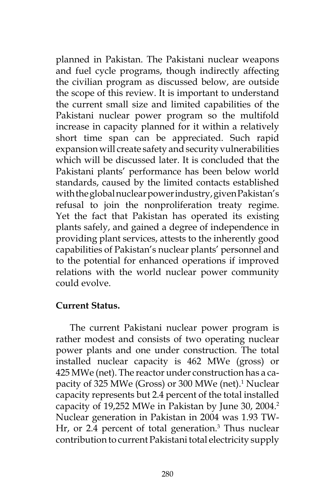planned in Pakistan. The Pakistani nuclear weapons and fuel cycle programs, though indirectly affecting the civilian program as discussed below, are outside the scope of this review. It is important to understand the current small size and limited capabilities of the Pakistani nuclear power program so the multifold increase in capacity planned for it within a relatively short time span can be appreciated. Such rapid expansion will create safety and security vulnerabilities which will be discussed later. It is concluded that the Pakistani plants' performance has been below world standards, caused by the limited contacts established with the global nuclear power industry, given Pakistan's refusal to join the nonproliferation treaty regime. Yet the fact that Pakistan has operated its existing plants safely, and gained a degree of independence in providing plant services, attests to the inherently good capabilities of Pakistan's nuclear plants' personnel and to the potential for enhanced operations if improved relations with the world nuclear power community could evolve.

#### **Current Status.**

The current Pakistani nuclear power program is rather modest and consists of two operating nuclear power plants and one under construction. The total installed nuclear capacity is 462 MWe (gross) or 425 MWe (net). The reactor under construction has a capacity of 325 MWe (Gross) or 300 MWe (net).<sup>1</sup> Nuclear capacity represents but 2.4 percent of the total installed capacity of 19,252 MWe in Pakistan by June 30, 2004.<sup>2</sup> Nuclear generation in Pakistan in 2004 was 1.93 TW-Hr, or 2.4 percent of total generation.<sup>3</sup> Thus nuclear contribution to current Pakistani total electricity supply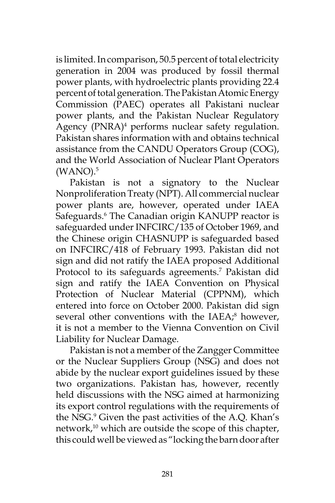is limited. In comparison, 50.5 percent of total electricity generation in 2004 was produced by fossil thermal power plants, with hydroelectric plants providing 22.4 percent of total generation. The Pakistan Atomic Energy Commission (PAEC) operates all Pakistani nuclear power plants, and the Pakistan Nuclear Regulatory Agency (PNRA)<sup>4</sup> performs nuclear safety regulation. Pakistan shares information with and obtains technical assistance from the CANDU Operators Group (COG), and the World Association of Nuclear Plant Operators  $(WANO).<sup>5</sup>$ 

Pakistan is not a signatory to the Nuclear Nonproliferation Treaty (NPT). All commercial nuclear power plants are, however, operated under IAEA Safeguards.<sup>6</sup> The Canadian origin KANUPP reactor is safeguarded under INFCIRC/135 of October 1969, and the Chinese origin CHASNUPP is safeguarded based on INFCIRC/418 of February 1993. Pakistan did not sign and did not ratify the IAEA proposed Additional Protocol to its safeguards agreements.<sup>7</sup> Pakistan did sign and ratify the IAEA Convention on Physical Protection of Nuclear Material (CPPNM), which entered into force on October 2000. Pakistan did sign several other conventions with the IAEA;<sup>8</sup> however, it is not a member to the Vienna Convention on Civil Liability for Nuclear Damage.

Pakistan is not a member of the Zangger Committee or the Nuclear Suppliers Group (NSG) and does not abide by the nuclear export guidelines issued by these two organizations. Pakistan has, however, recently held discussions with the NSG aimed at harmonizing its export control regulations with the requirements of the NSG.<sup>9</sup> Given the past activities of the A.Q. Khan's network,<sup>10</sup> which are outside the scope of this chapter, this could well be viewed as "locking the barn door after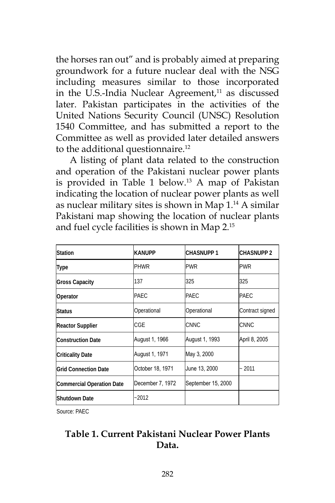the horses ran out" and is probably aimed at preparing groundwork for a future nuclear deal with the NSG including measures similar to those incorporated in the U.S.-India Nuclear Agreement, $11$  as discussed later. Pakistan participates in the activities of the United Nations Security Council (UNSC) Resolution 1540 Committee, and has submitted a report to the Committee as well as provided later detailed answers to the additional questionnaire.<sup>12</sup>

A listing of plant data related to the construction and operation of the Pakistani nuclear power plants is provided in Table 1 below.13 A map of Pakistan indicating the location of nuclear power plants as well as nuclear military sites is shown in Map 1.14 A similar Pakistani map showing the location of nuclear plants and fuel cycle facilities is shown in Map 2.15

| Station                          | <b>KANUPP</b>    | <b>CHASNUPP 1</b>  | <b>CHASNUPP 2</b> |
|----------------------------------|------------------|--------------------|-------------------|
| Type                             | PHWR             | <b>PWR</b>         | <b>PWR</b>        |
| <b>Gross Capacity</b>            | 137              | 325                | 325               |
| Operator                         | <b>IPAEC</b>     | IPAEC.             | PAEC              |
| Status                           | Operational      | Operational        | Contract signed   |
| <b>Reactor Supplier</b>          | CGE              | CNNC               | <b>CNNC</b>       |
| Construction Date                | August 1, 1966   | August 1, 1993     | April 8, 2005     |
| Criticality Date                 | August 1, 1971   | May 3, 2000        |                   |
| <b>Grid Connection Date</b>      | October 18, 1971 | June 13, 2000      | ~2011             |
| <b>Commercial Operation Date</b> | December 7, 1972 | September 15, 2000 |                   |
| Shutdown Date                    | $-2012$          |                    |                   |

Source: PAEC

# **Table 1. Current Pakistani Nuclear Power Plants Data.**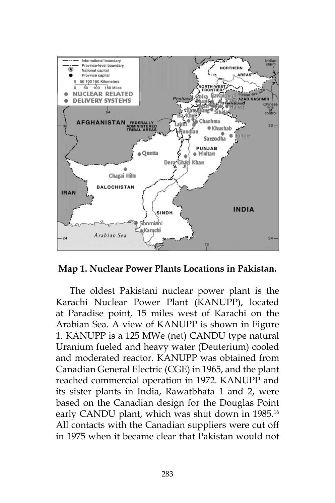



The oldest Pakistani nuclear power plant is the Karachi Nuclear Power Plant (KANUPP), located at Paradise point, 15 miles west of Karachi on the Arabian Sea. A view of KANUPP is shown in Figure 1. KANUPP is a 125 MWe (net) CANDU type natural Uranium fueled and heavy water (Deuterium) cooled and moderated reactor. KANUPP was obtained from Canadian General Electric (CGE) in 1965, and the plant reached commercial operation in 1972. KANUPP and its sister plants in India, Rawatbhata 1 and 2, were based on the Canadian design for the Douglas Point early CANDU plant, which was shut down in 1985.<sup>16</sup> All contacts with the Canadian suppliers were cut off in 1975 when it became clear that Pakistan would not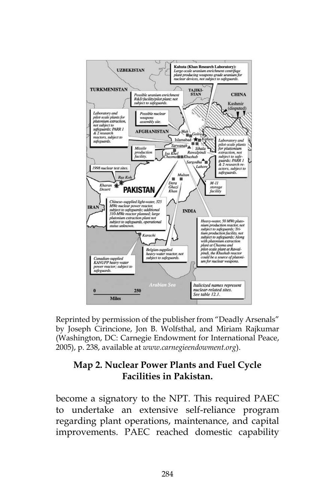

Reprinted by permission of the publisher from "Deadly Arsenals" by Joseph Cirincione, Jon B. Wolfsthal, and Miriam Rajkumar (Washington, DC: Carnegie Endowment for International Peace, 2005), p. 238, available at *www.carnegieendowment.org*).

# **Map 2. Nuclear Power Plants and Fuel Cycle Facilities in Pakistan.**

become a signatory to the NPT. This required PAEC to undertake an extensive self-reliance program regarding plant operations, maintenance, and capital improvements. PAEC reached domestic capability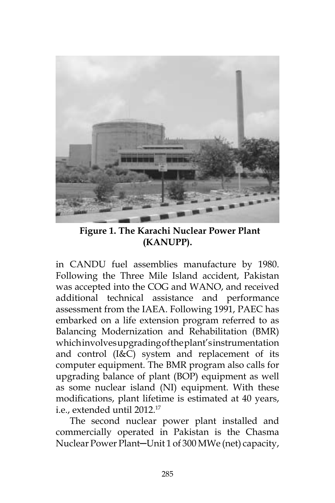

 **Figure 1. The Karachi Nuclear Power Plant (KANUPP).**

in CANDU fuel assemblies manufacture by 1980. Following the Three Mile Island accident, Pakistan was accepted into the COG and WANO, and received additional technical assistance and performance assessment from the IAEA. Following 1991, PAEC has embarked on a life extension program referred to as Balancing Modernization and Rehabilitation (BMR) which involves upgrading of the plant's instrumentation and control (I&C) system and replacement of its computer equipment. The BMR program also calls for upgrading balance of plant (BOP) equipment as well as some nuclear island (NI) equipment. With these modifications, plant lifetime is estimated at 40 years, i.e., extended until 2012.17

The second nuclear power plant installed and commercially operated in Pakistan is the Chasma Nuclear Power Plant-Unit 1 of 300 MWe (net) capacity,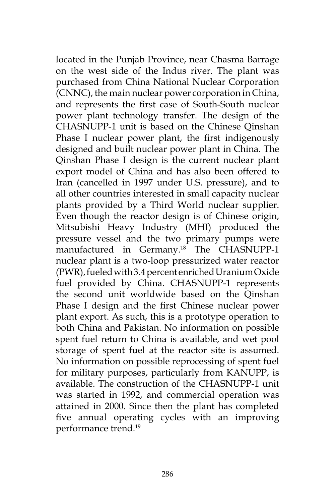located in the Punjab Province, near Chasma Barrage on the west side of the Indus river. The plant was purchased from China National Nuclear Corporation (CNNC), the main nuclear power corporation in China, and represents the first case of South-South nuclear power plant technology transfer. The design of the CHASNUPP-1 unit is based on the Chinese Qinshan Phase I nuclear power plant, the first indigenously designed and built nuclear power plant in China. The Qinshan Phase I design is the current nuclear plant export model of China and has also been offered to Iran (cancelled in 1997 under U.S. pressure), and to all other countries interested in small capacity nuclear plants provided by a Third World nuclear supplier. Even though the reactor design is of Chinese origin, Mitsubishi Heavy Industry (MHI) produced the pressure vessel and the two primary pumps were manufactured in Germany.<sup>18</sup> The CHASNUPP-1 nuclear plant is a two-loop pressurized water reactor (PWR), fueled with 3.4 percent enriched Uranium Oxide fuel provided by China. CHASNUPP-1 represents the second unit worldwide based on the Qinshan Phase I design and the first Chinese nuclear power plant export. As such, this is a prototype operation to both China and Pakistan. No information on possible spent fuel return to China is available, and wet pool storage of spent fuel at the reactor site is assumed. No information on possible reprocessing of spent fuel for military purposes, particularly from KANUPP, is available. The construction of the CHASNUPP-1 unit was started in 1992, and commercial operation was attained in 2000. Since then the plant has completed five annual operating cycles with an improving performance trend.19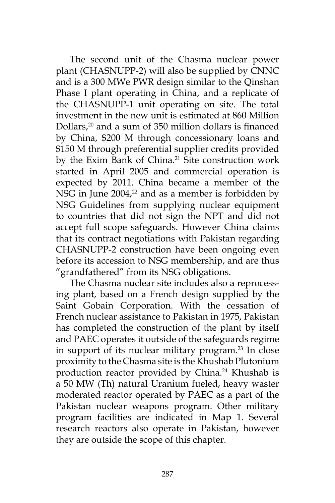The second unit of the Chasma nuclear power plant (CHASNUPP-2) will also be supplied by CNNC and is a 300 MWe PWR design similar to the Qinshan Phase I plant operating in China, and a replicate of the CHASNUPP-1 unit operating on site. The total investment in the new unit is estimated at 860 Million Dollars,20 and a sum of 350 million dollars is financed by China, \$200 M through concessionary loans and \$150 M through preferential supplier credits provided by the Exim Bank of China.<sup>21</sup> Site construction work started in April 2005 and commercial operation is expected by 2011. China became a member of the NSG in June  $2004<sup>22</sup>$  and as a member is forbidden by NSG Guidelines from supplying nuclear equipment to countries that did not sign the NPT and did not accept full scope safeguards. However China claims that its contract negotiations with Pakistan regarding CHASNUPP-2 construction have been ongoing even before its accession to NSG membership, and are thus "grandfathered" from its NSG obligations.

The Chasma nuclear site includes also a reprocessing plant, based on a French design supplied by the Saint Gobain Corporation. With the cessation of French nuclear assistance to Pakistan in 1975, Pakistan has completed the construction of the plant by itself and PAEC operates it outside of the safeguards regime in support of its nuclear military program.<sup>23</sup> In close proximity to the Chasma site is the Khushab Plutonium production reactor provided by China.<sup>24</sup> Khushab is a 50 MW (Th) natural Uranium fueled, heavy waster moderated reactor operated by PAEC as a part of the Pakistan nuclear weapons program. Other military program facilities are indicated in Map 1. Several research reactors also operate in Pakistan, however they are outside the scope of this chapter.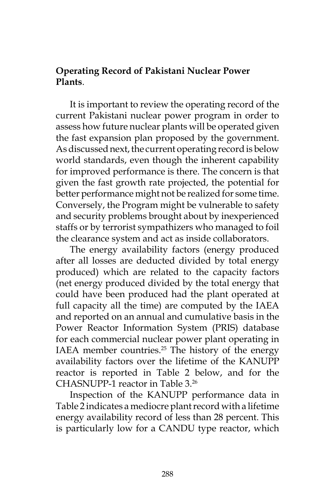### **Operating Record of Pakistani Nuclear Power Plants**.

It is important to review the operating record of the current Pakistani nuclear power program in order to assess how future nuclear plants will be operated given the fast expansion plan proposed by the government. As discussed next, the current operating record is below world standards, even though the inherent capability for improved performance is there. The concern is that given the fast growth rate projected, the potential for better performance might not be realized for some time. Conversely, the Program might be vulnerable to safety and security problems brought about by inexperienced staffs or by terrorist sympathizers who managed to foil the clearance system and act as inside collaborators.

The energy availability factors (energy produced after all losses are deducted divided by total energy produced) which are related to the capacity factors (net energy produced divided by the total energy that could have been produced had the plant operated at full capacity all the time) are computed by the IAEA and reported on an annual and cumulative basis in the Power Reactor Information System (PRIS) database for each commercial nuclear power plant operating in IAEA member countries. $25$  The history of the energy availability factors over the lifetime of the KANUPP reactor is reported in Table 2 below, and for the CHASNUPP-1 reactor in Table 3.26

Inspection of the KANUPP performance data in Table 2 indicates a mediocre plant record with a lifetime energy availability record of less than 28 percent. This is particularly low for a CANDU type reactor, which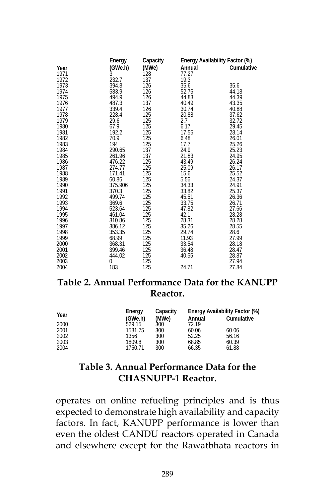|              | Energy           | Capacity   | Energy Availability Factor (%) |                |
|--------------|------------------|------------|--------------------------------|----------------|
| Year         | (GWe.h)          | (MWe)      | Annual                         | Cumulative     |
| 1971         | Ŝ.               | 128        | 77.27                          |                |
| 1972         | 232.7            | 137        | 19.3                           |                |
| 1973         | 394.8            | 126        | 35.6                           | 35.6           |
| 1974         | 583.9            | 126        | 52.75                          | 44.18          |
| 1975         | 494.9            | 126        | 44.83                          | 44.39          |
| 1976         | 487.3            | 137        | 40.49                          | 43.35          |
| 1977         | 339.4            | 126        | 30.74                          | 40.88          |
| 1978         | 228.4            | 125        | 20.88                          | 37.62          |
| 1979         | 29.6             | 125        | 2.7                            | 32.72          |
| 1980         | 67.9             | 125        | 6.17                           | 29.45          |
| 1981         | 192.2            | 125        | 17.55                          | 28.14          |
| 1982         | 70.9             | 125        | 6.48                           | 26.01          |
| 1983         | 194              | 125        | 17.7                           | 25.26          |
| 1984<br>1985 | 290.65<br>261.96 | 137<br>137 | 24.9<br>21.83                  | 25.23<br>24.95 |
| 1986         | 476.22           | 125        | 43.49                          | 26.24          |
| 1987         | 274.77           | 125        | 25.09                          | 26.17          |
| 1988         | 171.41           | 125        | 15.6                           | 25.52          |
| 1989         | 60.86            | 125        | 5.56                           | 24.37          |
| 1990         | 375.906          | 125        | 34.33                          | 24.91          |
| 1991         | 370.3            | 125        | 33.82                          | 25.37          |
| 1992         | 499.74           | 125        | 45.51                          | 26.36          |
| 1993         | 369.6            | 125        | 33.75                          | 26.71          |
| 1994         | 523.64           | 125        | 47.82                          | 27.66          |
| 1995         | 461.04           | 125        | 42.1                           | 28.28          |
| 1996         | 310.86           | 125        | 28.31                          | 28.28          |
| 1997         | 386.12           | 125        | 35.26                          | 28.55          |
| 1998         | 353.35           | 125        | 29.74                          | 28.6           |
| 1999         | 68.99            | 125        | 11.93                          | 27.99          |
| 2000         | 368.31           | 125        | 33.54                          | 28.18          |
| 2001         | 399.46           | 125        | 36.48                          | 28.47          |
| 2002         | 444.02           | 125        | 40.55                          | 28.87          |
| 2003         | 0                | 125        |                                | 27.94          |
| 2004         | 183              | 125        | 24.71                          | 27.84          |

# **Table 2. Annual Performance Data for the KANUPP Reactor.**

| Year | Energy  | Capacity | Energy Availability Factor (%) |            |  |
|------|---------|----------|--------------------------------|------------|--|
|      | (GWe.h) | (MWe)    | Annual                         | Cumulative |  |
| 2000 | 529.15  | 300      | 72.19                          |            |  |
| 2001 | 1581.75 | 300      | 60.06                          | 60.06      |  |
| 2002 | 1356    | 300      | 52.25                          | 56.16      |  |
| 2003 | 1809.8  | 300      | 68.85                          | 60.39      |  |
| 2004 | 1750.71 | 300      | 66.35                          | 61.88      |  |

# **Table 3. Annual Performance Data for the CHASNUPP-1 Reactor.**

operates on online refueling principles and is thus expected to demonstrate high availability and capacity factors. In fact, KANUPP performance is lower than even the oldest CANDU reactors operated in Canada and elsewhere except for the Rawatbhata reactors in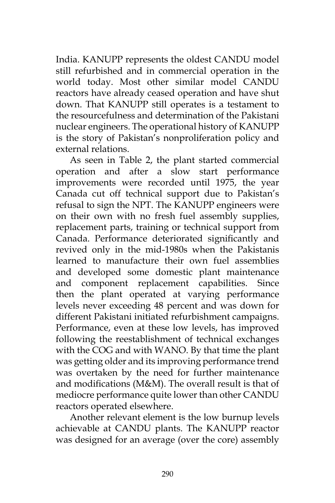India. KANUPP represents the oldest CANDU model still refurbished and in commercial operation in the world today. Most other similar model CANDU reactors have already ceased operation and have shut down. That KANUPP still operates is a testament to the resourcefulness and determination of the Pakistani nuclear engineers. The operational history of KANUPP is the story of Pakistan's nonproliferation policy and external relations.

As seen in Table 2, the plant started commercial operation and after a slow start performance improvements were recorded until 1975, the year Canada cut off technical support due to Pakistan's refusal to sign the NPT. The KANUPP engineers were on their own with no fresh fuel assembly supplies, replacement parts, training or technical support from Canada. Performance deteriorated significantly and revived only in the mid-1980s when the Pakistanis learned to manufacture their own fuel assemblies and developed some domestic plant maintenance and component replacement capabilities. Since then the plant operated at varying performance levels never exceeding 48 percent and was down for different Pakistani initiated refurbishment campaigns. Performance, even at these low levels, has improved following the reestablishment of technical exchanges with the COG and with WANO. By that time the plant was getting older and its improving performance trend was overtaken by the need for further maintenance and modifications (M&M). The overall result is that of mediocre performance quite lower than other CANDU reactors operated elsewhere.

Another relevant element is the low burnup levels achievable at CANDU plants. The KANUPP reactor was designed for an average (over the core) assembly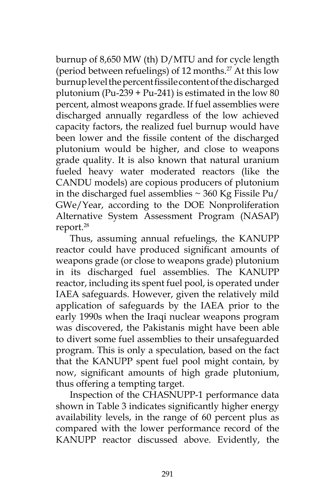burnup of 8,650 MW (th) D/MTU and for cycle length (period between refuelings) of 12 months.<sup>27</sup> At this low burnup level the percent fissile content of the discharged plutonium (Pu-239 + Pu-241) is estimated in the low  $80$ percent, almost weapons grade. If fuel assemblies were discharged annually regardless of the low achieved capacity factors, the realized fuel burnup would have been lower and the fissile content of the discharged plutonium would be higher, and close to weapons grade quality. It is also known that natural uranium fueled heavy water moderated reactors (like the CANDU models) are copious producers of plutonium in the discharged fuel assemblies  $\sim$  360 Kg Fissile Pu/ GWe/Year, according to the DOE Nonproliferation Alternative System Assessment Program (NASAP) report.28

Thus, assuming annual refuelings, the KANUPP reactor could have produced significant amounts of weapons grade (or close to weapons grade) plutonium in its discharged fuel assemblies. The KANUPP reactor, including its spent fuel pool, is operated under IAEA safeguards. However, given the relatively mild application of safeguards by the IAEA prior to the early 1990s when the Iraqi nuclear weapons program was discovered, the Pakistanis might have been able to divert some fuel assemblies to their unsafeguarded program. This is only a speculation, based on the fact that the KANUPP spent fuel pool might contain, by now, significant amounts of high grade plutonium, thus offering a tempting target.

Inspection of the CHASNUPP-1 performance data shown in Table 3 indicates significantly higher energy availability levels, in the range of 60 percent plus as compared with the lower performance record of the KANUPP reactor discussed above. Evidently, the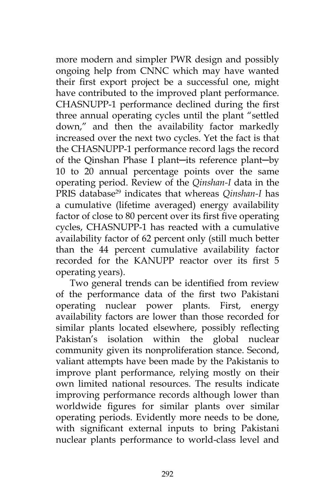more modern and simpler PWR design and possibly ongoing help from CNNC which may have wanted their first export project be a successful one, might have contributed to the improved plant performance. CHASNUPP-1 performance declined during the first three annual operating cycles until the plant "settled down," and then the availability factor markedly increased over the next two cycles. Yet the fact is that the CHASNUPP-1 performance record lags the record of the Qinshan Phase I plant─its reference plant─by 10 to 20 annual percentage points over the same operating period. Review of the *Qinshan-I* data in the PRIS database<sup>29</sup> indicates that whereas *Qinshan-I* has a cumulative (lifetime averaged) energy availability factor of close to 80 percent over its first five operating cycles, CHASNUPP-1 has reacted with a cumulative availability factor of 62 percent only (still much better than the 44 percent cumulative availability factor recorded for the KANUPP reactor over its first 5 operating years).

Two general trends can be identified from review of the performance data of the first two Pakistani operating nuclear power plants. First, energy availability factors are lower than those recorded for similar plants located elsewhere, possibly reflecting Pakistan's isolation within the global nuclear community given its nonproliferation stance. Second, valiant attempts have been made by the Pakistanis to improve plant performance, relying mostly on their own limited national resources. The results indicate improving performance records although lower than worldwide figures for similar plants over similar operating periods. Evidently more needs to be done, with significant external inputs to bring Pakistani nuclear plants performance to world-class level and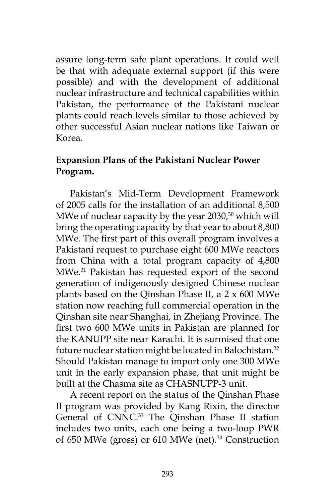assure long-term safe plant operations. It could well be that with adequate external support (if this were possible) and with the development of additional nuclear infrastructure and technical capabilities within Pakistan, the performance of the Pakistani nuclear plants could reach levels similar to those achieved by other successful Asian nuclear nations like Taiwan or Korea.

# **Expansion Plans of the Pakistani Nuclear Power Program.**

Pakistan's Mid-Term Development Framework of 2005 calls for the installation of an additional 8,500 MWe of nuclear capacity by the year  $2030$ ,<sup>30</sup> which will bring the operating capacity by that year to about 8,800 MWe. The first part of this overall program involves a Pakistani request to purchase eight 600 MWe reactors from China with a total program capacity of 4,800 MWe.31 Pakistan has requested export of the second generation of indigenously designed Chinese nuclear plants based on the Qinshan Phase II, a 2 x 600 MWe station now reaching full commercial operation in the Qinshan site near Shanghai, in Zhejiang Province. The first two 600 MWe units in Pakistan are planned for the KANUPP site near Karachi. It is surmised that one future nuclear station might be located in Balochistan.<sup>32</sup> Should Pakistan manage to import only one 300 MWe unit in the early expansion phase, that unit might be built at the Chasma site as CHASNUPP-3 unit.

A recent report on the status of the Qinshan Phase II program was provided by Kang Rixin, the director General of CNNC.<sup>33</sup> The Qinshan Phase II station includes two units, each one being a two-loop PWR of 650 MWe (gross) or 610 MWe (net).<sup>34</sup> Construction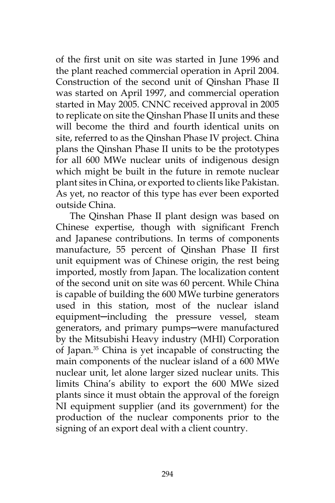of the first unit on site was started in June 1996 and the plant reached commercial operation in April 2004. Construction of the second unit of Qinshan Phase II was started on April 1997, and commercial operation started in May 2005. CNNC received approval in 2005 to replicate on site the Qinshan Phase II units and these will become the third and fourth identical units on site, referred to as the Qinshan Phase IV project. China plans the Qinshan Phase II units to be the prototypes for all 600 MWe nuclear units of indigenous design which might be built in the future in remote nuclear plant sites in China, or exported to clients like Pakistan. As yet, no reactor of this type has ever been exported outside China.

The Qinshan Phase II plant design was based on Chinese expertise, though with significant French and Japanese contributions. In terms of components manufacture, 55 percent of Qinshan Phase II first unit equipment was of Chinese origin, the rest being imported, mostly from Japan. The localization content of the second unit on site was 60 percent. While China is capable of building the 600 MWe turbine generators used in this station, most of the nuclear island equipment-including the pressure vessel, steam generators, and primary pumps─were manufactured by the Mitsubishi Heavy industry (MHI) Corporation of Japan.35 China is yet incapable of constructing the main components of the nuclear island of a 600 MWe nuclear unit, let alone larger sized nuclear units. This limits China's ability to export the 600 MWe sized plants since it must obtain the approval of the foreign NI equipment supplier (and its government) for the production of the nuclear components prior to the signing of an export deal with a client country.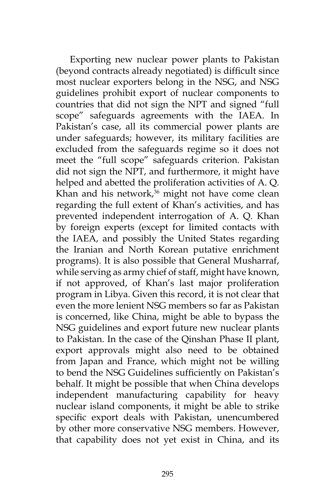Exporting new nuclear power plants to Pakistan (beyond contracts already negotiated) is difficult since most nuclear exporters belong in the NSG, and NSG guidelines prohibit export of nuclear components to countries that did not sign the NPT and signed "full scope" safeguards agreements with the IAEA. In Pakistan's case, all its commercial power plants are under safeguards; however, its military facilities are excluded from the safeguards regime so it does not meet the "full scope" safeguards criterion. Pakistan did not sign the NPT, and furthermore, it might have helped and abetted the proliferation activities of A. Q. Khan and his network, $36$  might not have come clean regarding the full extent of Khan's activities, and has prevented independent interrogation of A. Q. Khan by foreign experts (except for limited contacts with the IAEA, and possibly the United States regarding the Iranian and North Korean putative enrichment programs). It is also possible that General Musharraf, while serving as army chief of staff, might have known, if not approved, of Khan's last major proliferation program in Libya. Given this record, it is not clear that even the more lenient NSG members so far as Pakistan is concerned, like China, might be able to bypass the NSG guidelines and export future new nuclear plants to Pakistan. In the case of the Qinshan Phase II plant, export approvals might also need to be obtained from Japan and France, which might not be willing to bend the NSG Guidelines sufficiently on Pakistan's behalf. It might be possible that when China develops independent manufacturing capability for heavy nuclear island components, it might be able to strike specific export deals with Pakistan, unencumbered by other more conservative NSG members. However, that capability does not yet exist in China, and its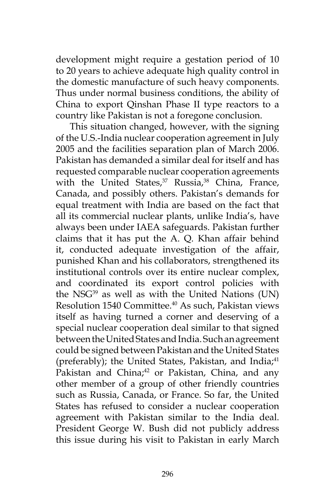development might require a gestation period of 10 to 20 years to achieve adequate high quality control in the domestic manufacture of such heavy components. Thus under normal business conditions, the ability of China to export Qinshan Phase II type reactors to a country like Pakistan is not a foregone conclusion.

This situation changed, however, with the signing of the U.S.-India nuclear cooperation agreement in July 2005 and the facilities separation plan of March 2006. Pakistan has demanded a similar deal for itself and has requested comparable nuclear cooperation agreements with the United States, $37$  Russia, $38$  China, France, Canada, and possibly others. Pakistan's demands for equal treatment with India are based on the fact that all its commercial nuclear plants, unlike India's, have always been under IAEA safeguards. Pakistan further claims that it has put the A. Q. Khan affair behind it, conducted adequate investigation of the affair, punished Khan and his collaborators, strengthened its institutional controls over its entire nuclear complex, and coordinated its export control policies with the NSG $39$  as well as with the United Nations (UN) Resolution 1540 Committee.40 As such, Pakistan views itself as having turned a corner and deserving of a special nuclear cooperation deal similar to that signed between the United States and India. Such an agreement could be signed between Pakistan and the United States (preferably); the United States, Pakistan, and India; $41$ Pakistan and China;<sup>42</sup> or Pakistan, China, and any other member of a group of other friendly countries such as Russia, Canada, or France. So far, the United States has refused to consider a nuclear cooperation agreement with Pakistan similar to the India deal. President George W. Bush did not publicly address this issue during his visit to Pakistan in early March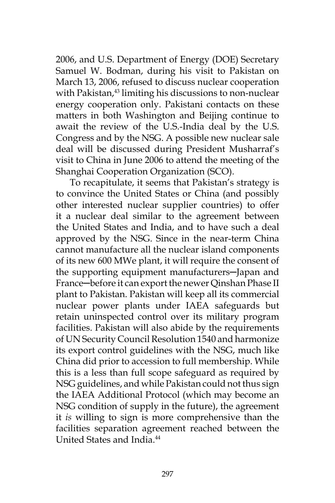2006, and U.S. Department of Energy (DOE) Secretary Samuel W. Bodman, during his visit to Pakistan on March 13, 2006, refused to discuss nuclear cooperation with Pakistan,<sup>43</sup> limiting his discussions to non-nuclear energy cooperation only. Pakistani contacts on these matters in both Washington and Beijing continue to await the review of the U.S.-India deal by the U.S. Congress and by the NSG. A possible new nuclear sale deal will be discussed during President Musharraf's visit to China in June 2006 to attend the meeting of the Shanghai Cooperation Organization (SCO).

To recapitulate, it seems that Pakistan's strategy is to convince the United States or China (and possibly other interested nuclear supplier countries) to offer it a nuclear deal similar to the agreement between the United States and India, and to have such a deal approved by the NSG. Since in the near-term China cannot manufacture all the nuclear island components of its new 600 MWe plant, it will require the consent of the supporting equipment manufacturers─Japan and France-before it can export the newer Qinshan Phase II plant to Pakistan. Pakistan will keep all its commercial nuclear power plants under IAEA safeguards but retain uninspected control over its military program facilities. Pakistan will also abide by the requirements of UN Security Council Resolution 1540 and harmonize its export control guidelines with the NSG, much like China did prior to accession to full membership. While this is a less than full scope safeguard as required by NSG guidelines, and while Pakistan could not thus sign the IAEA Additional Protocol (which may become an NSG condition of supply in the future), the agreement it *is* willing to sign is more comprehensive than the facilities separation agreement reached between the United States and India<sup>44</sup>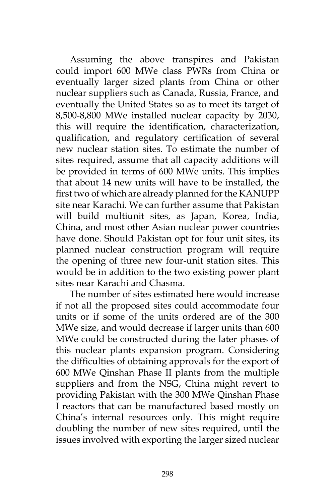Assuming the above transpires and Pakistan could import 600 MWe class PWRs from China or eventually larger sized plants from China or other nuclear suppliers such as Canada, Russia, France, and eventually the United States so as to meet its target of 8,500-8,800 MWe installed nuclear capacity by 2030, this will require the identification, characterization, qualification, and regulatory certification of several new nuclear station sites. To estimate the number of sites required, assume that all capacity additions will be provided in terms of 600 MWe units. This implies that about 14 new units will have to be installed, the first two of which are already planned for the KANUPP site near Karachi. We can further assume that Pakistan will build multiunit sites, as Japan, Korea, India, China, and most other Asian nuclear power countries have done. Should Pakistan opt for four unit sites, its planned nuclear construction program will require the opening of three new four-unit station sites. This would be in addition to the two existing power plant sites near Karachi and Chasma.

The number of sites estimated here would increase if not all the proposed sites could accommodate four units or if some of the units ordered are of the 300 MWe size, and would decrease if larger units than 600 MWe could be constructed during the later phases of this nuclear plants expansion program. Considering the difficulties of obtaining approvals for the export of 600 MWe Qinshan Phase II plants from the multiple suppliers and from the NSG, China might revert to providing Pakistan with the 300 MWe Qinshan Phase I reactors that can be manufactured based mostly on China's internal resources only. This might require doubling the number of new sites required, until the issues involved with exporting the larger sized nuclear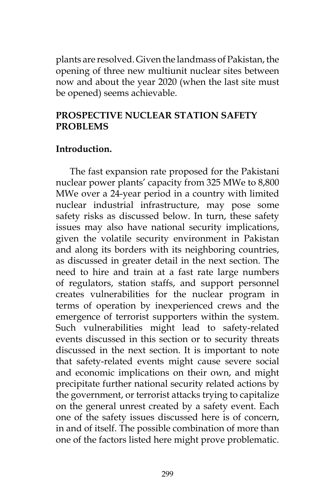plants are resolved. Given the landmass of Pakistan, the opening of three new multiunit nuclear sites between now and about the year 2020 (when the last site must be opened) seems achievable.

### **PROSPECTIVE NUCLEAR STATION SAFETY PROBLEMS**

#### **Introduction.**

The fast expansion rate proposed for the Pakistani nuclear power plants' capacity from 325 MWe to 8,800 MWe over a 24-year period in a country with limited nuclear industrial infrastructure, may pose some safety risks as discussed below. In turn, these safety issues may also have national security implications, given the volatile security environment in Pakistan and along its borders with its neighboring countries, as discussed in greater detail in the next section. The need to hire and train at a fast rate large numbers of regulators, station staffs, and support personnel creates vulnerabilities for the nuclear program in terms of operation by inexperienced crews and the emergence of terrorist supporters within the system. Such vulnerabilities might lead to safety-related events discussed in this section or to security threats discussed in the next section. It is important to note that safety-related events might cause severe social and economic implications on their own, and might precipitate further national security related actions by the government, or terrorist attacks trying to capitalize on the general unrest created by a safety event. Each one of the safety issues discussed here is of concern, in and of itself. The possible combination of more than one of the factors listed here might prove problematic.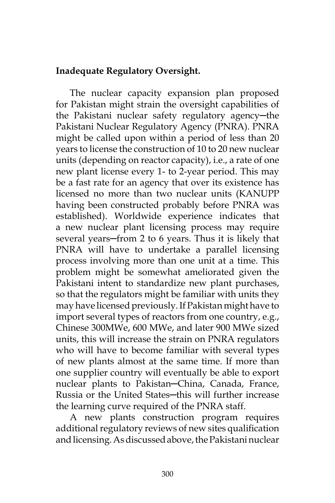### **Inadequate Regulatory Oversight.**

The nuclear capacity expansion plan proposed for Pakistan might strain the oversight capabilities of the Pakistani nuclear safety regulatory agency─the Pakistani Nuclear Regulatory Agency (PNRA). PNRA might be called upon within a period of less than 20 years to license the construction of 10 to 20 new nuclear units (depending on reactor capacity), i.e., a rate of one new plant license every 1- to 2-year period. This may be a fast rate for an agency that over its existence has licensed no more than two nuclear units (KANUPP having been constructed probably before PNRA was established). Worldwide experience indicates that a new nuclear plant licensing process may require several years-from 2 to 6 years. Thus it is likely that PNRA will have to undertake a parallel licensing process involving more than one unit at a time. This problem might be somewhat ameliorated given the Pakistani intent to standardize new plant purchases, so that the regulators might be familiar with units they may have licensed previously. If Pakistan might have to import several types of reactors from one country, e.g., Chinese 300MWe, 600 MWe, and later 900 MWe sized units, this will increase the strain on PNRA regulators who will have to become familiar with several types of new plants almost at the same time. If more than one supplier country will eventually be able to export nuclear plants to Pakistan─China, Canada, France, Russia or the United States-this will further increase the learning curve required of the PNRA staff.

A new plants construction program requires additional regulatory reviews of new sites qualification and licensing. As discussed above, the Pakistani nuclear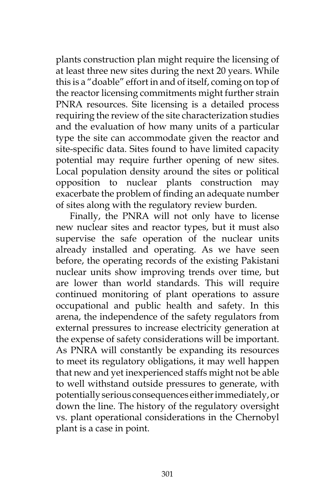plants construction plan might require the licensing of at least three new sites during the next 20 years. While this is a "doable" effort in and of itself, coming on top of the reactor licensing commitments might further strain PNRA resources. Site licensing is a detailed process requiring the review of the site characterization studies and the evaluation of how many units of a particular type the site can accommodate given the reactor and site-specific data. Sites found to have limited capacity potential may require further opening of new sites. Local population density around the sites or political opposition to nuclear plants construction may exacerbate the problem of finding an adequate number of sites along with the regulatory review burden.

Finally, the PNRA will not only have to license new nuclear sites and reactor types, but it must also supervise the safe operation of the nuclear units already installed and operating. As we have seen before, the operating records of the existing Pakistani nuclear units show improving trends over time, but are lower than world standards. This will require continued monitoring of plant operations to assure occupational and public health and safety. In this arena, the independence of the safety regulators from external pressures to increase electricity generation at the expense of safety considerations will be important. As PNRA will constantly be expanding its resources to meet its regulatory obligations, it may well happen that new and yet inexperienced staffs might not be able to well withstand outside pressures to generate, with potentially serious consequences either immediately, or down the line. The history of the regulatory oversight vs. plant operational considerations in the Chernobyl plant is a case in point.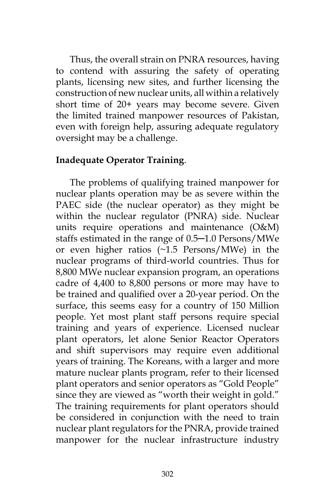Thus, the overall strain on PNRA resources, having to contend with assuring the safety of operating plants, licensing new sites, and further licensing the construction of new nuclear units, all within a relatively short time of 20+ years may become severe. Given the limited trained manpower resources of Pakistan, even with foreign help, assuring adequate regulatory oversight may be a challenge.

### **Inadequate Operator Training**.

The problems of qualifying trained manpower for nuclear plants operation may be as severe within the PAEC side (the nuclear operator) as they might be within the nuclear regulator (PNRA) side. Nuclear units require operations and maintenance (O&M) staffs estimated in the range of 0.5─1.0 Persons/MWe or even higher ratios (~1.5 Persons/MWe) in the nuclear programs of third-world countries. Thus for 8,800 MWe nuclear expansion program, an operations cadre of 4,400 to 8,800 persons or more may have to be trained and qualified over a 20-year period. On the surface, this seems easy for a country of 150 Million people. Yet most plant staff persons require special training and years of experience. Licensed nuclear plant operators, let alone Senior Reactor Operators and shift supervisors may require even additional years of training. The Koreans, with a larger and more mature nuclear plants program, refer to their licensed plant operators and senior operators as "Gold People" since they are viewed as "worth their weight in gold." The training requirements for plant operators should be considered in conjunction with the need to train nuclear plant regulators for the PNRA, provide trained manpower for the nuclear infrastructure industry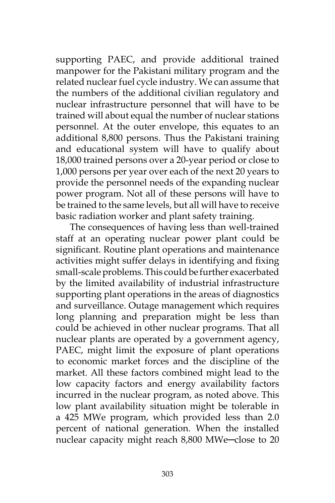supporting PAEC, and provide additional trained manpower for the Pakistani military program and the related nuclear fuel cycle industry. We can assume that the numbers of the additional civilian regulatory and nuclear infrastructure personnel that will have to be trained will about equal the number of nuclear stations personnel. At the outer envelope, this equates to an additional 8,800 persons. Thus the Pakistani training and educational system will have to qualify about 18,000 trained persons over a 20-year period or close to 1,000 persons per year over each of the next 20 years to provide the personnel needs of the expanding nuclear power program. Not all of these persons will have to be trained to the same levels, but all will have to receive basic radiation worker and plant safety training.

The consequences of having less than well-trained staff at an operating nuclear power plant could be significant. Routine plant operations and maintenance activities might suffer delays in identifying and fixing small-scale problems. This could be further exacerbated by the limited availability of industrial infrastructure supporting plant operations in the areas of diagnostics and surveillance. Outage management which requires long planning and preparation might be less than could be achieved in other nuclear programs. That all nuclear plants are operated by a government agency, PAEC, might limit the exposure of plant operations to economic market forces and the discipline of the market. All these factors combined might lead to the low capacity factors and energy availability factors incurred in the nuclear program, as noted above. This low plant availability situation might be tolerable in a 425 MWe program, which provided less than 2.0 percent of national generation. When the installed nuclear capacity might reach 8,800 MWe─close to 20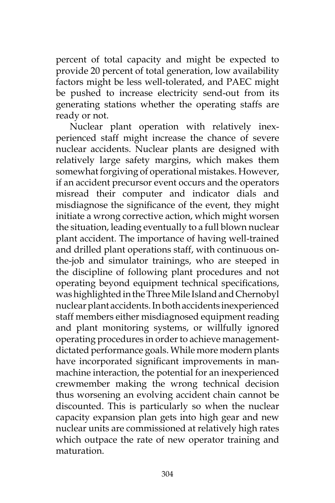percent of total capacity and might be expected to provide 20 percent of total generation, low availability factors might be less well-tolerated, and PAEC might be pushed to increase electricity send-out from its generating stations whether the operating staffs are ready or not.

Nuclear plant operation with relatively inexperienced staff might increase the chance of severe nuclear accidents. Nuclear plants are designed with relatively large safety margins, which makes them somewhat forgiving of operational mistakes. However, if an accident precursor event occurs and the operators misread their computer and indicator dials and misdiagnose the significance of the event, they might initiate a wrong corrective action, which might worsen the situation, leading eventually to a full blown nuclear plant accident. The importance of having well-trained and drilled plant operations staff, with continuous onthe-job and simulator trainings, who are steeped in the discipline of following plant procedures and not operating beyond equipment technical specifications, was highlighted in the Three Mile Island and Chernobyl nuclear plant accidents. In both accidents inexperienced staff members either misdiagnosed equipment reading and plant monitoring systems, or willfully ignored operating procedures in order to achieve managementdictated performance goals. While more modern plants have incorporated significant improvements in manmachine interaction, the potential for an inexperienced crewmember making the wrong technical decision thus worsening an evolving accident chain cannot be discounted. This is particularly so when the nuclear capacity expansion plan gets into high gear and new nuclear units are commissioned at relatively high rates which outpace the rate of new operator training and maturation.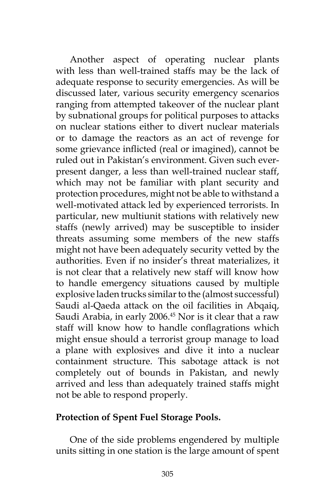Another aspect of operating nuclear plants with less than well-trained staffs may be the lack of adequate response to security emergencies. As will be discussed later, various security emergency scenarios ranging from attempted takeover of the nuclear plant by subnational groups for political purposes to attacks on nuclear stations either to divert nuclear materials or to damage the reactors as an act of revenge for some grievance inflicted (real or imagined), cannot be ruled out in Pakistan's environment. Given such everpresent danger, a less than well-trained nuclear staff, which may not be familiar with plant security and protection procedures, might not be able to withstand a well-motivated attack led by experienced terrorists. In particular, new multiunit stations with relatively new staffs (newly arrived) may be susceptible to insider threats assuming some members of the new staffs might not have been adequately security vetted by the authorities. Even if no insider's threat materializes, it is not clear that a relatively new staff will know how to handle emergency situations caused by multiple explosive laden trucks similar to the (almost successful) Saudi al-Qaeda attack on the oil facilities in Abqaiq, Saudi Arabia, in early 2006.<sup>45</sup> Nor is it clear that a raw staff will know how to handle conflagrations which might ensue should a terrorist group manage to load a plane with explosives and dive it into a nuclear containment structure. This sabotage attack is not completely out of bounds in Pakistan, and newly arrived and less than adequately trained staffs might not be able to respond properly.

### **Protection of Spent Fuel Storage Pools.**

One of the side problems engendered by multiple units sitting in one station is the large amount of spent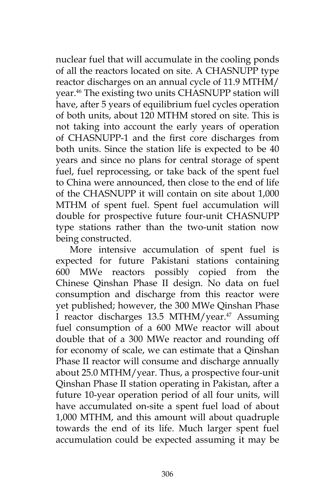nuclear fuel that will accumulate in the cooling ponds of all the reactors located on site. A CHASNUPP type reactor discharges on an annual cycle of 11.9 MTHM/ year.46 The existing two units CHASNUPP station will have, after 5 years of equilibrium fuel cycles operation of both units, about 120 MTHM stored on site. This is not taking into account the early years of operation of CHASNUPP-1 and the first core discharges from both units. Since the station life is expected to be 40 years and since no plans for central storage of spent fuel, fuel reprocessing, or take back of the spent fuel to China were announced, then close to the end of life of the CHASNUPP it will contain on site about 1,000 MTHM of spent fuel. Spent fuel accumulation will double for prospective future four-unit CHASNUPP type stations rather than the two-unit station now being constructed.

More intensive accumulation of spent fuel is expected for future Pakistani stations containing 600 MWe reactors possibly copied from the Chinese Qinshan Phase II design. No data on fuel consumption and discharge from this reactor were yet published; however, the 300 MWe Qinshan Phase I reactor discharges 13.5 MTHM/year.<sup>47</sup> Assuming fuel consumption of a 600 MWe reactor will about double that of a 300 MWe reactor and rounding off for economy of scale, we can estimate that a Qinshan Phase II reactor will consume and discharge annually about 25.0 MTHM/year. Thus, a prospective four-unit Qinshan Phase II station operating in Pakistan, after a future 10-year operation period of all four units, will have accumulated on-site a spent fuel load of about 1,000 MTHM, and this amount will about quadruple towards the end of its life. Much larger spent fuel accumulation could be expected assuming it may be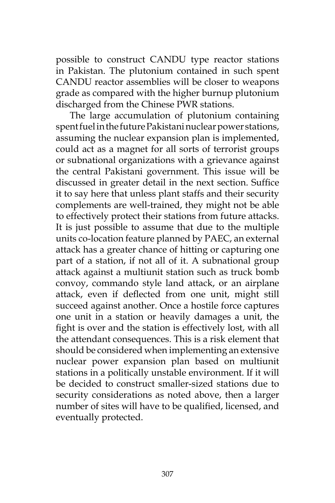possible to construct CANDU type reactor stations in Pakistan. The plutonium contained in such spent CANDU reactor assemblies will be closer to weapons grade as compared with the higher burnup plutonium discharged from the Chinese PWR stations.

The large accumulation of plutonium containing spent fuel in the future Pakistani nuclear power stations, assuming the nuclear expansion plan is implemented, could act as a magnet for all sorts of terrorist groups or subnational organizations with a grievance against the central Pakistani government. This issue will be discussed in greater detail in the next section. Suffice it to say here that unless plant staffs and their security complements are well-trained, they might not be able to effectively protect their stations from future attacks. It is just possible to assume that due to the multiple units co-location feature planned by PAEC, an external attack has a greater chance of hitting or capturing one part of a station, if not all of it. A subnational group attack against a multiunit station such as truck bomb convoy, commando style land attack, or an airplane attack, even if deflected from one unit, might still succeed against another. Once a hostile force captures one unit in a station or heavily damages a unit, the fight is over and the station is effectively lost, with all the attendant consequences. This is a risk element that should be considered when implementing an extensive nuclear power expansion plan based on multiunit stations in a politically unstable environment. If it will be decided to construct smaller-sized stations due to security considerations as noted above, then a larger number of sites will have to be qualified, licensed, and eventually protected.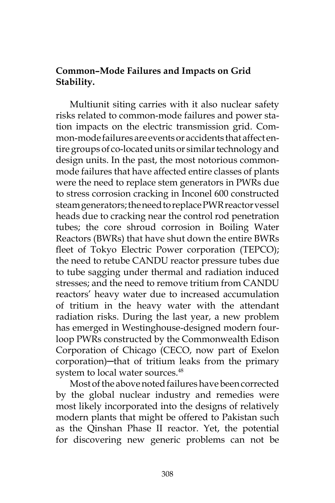### **Common–Mode Failures and Impacts on Grid Stability.**

Multiunit siting carries with it also nuclear safety risks related to common-mode failures and power station impacts on the electric transmission grid. Common-mode failures are events or accidents that affect entire groups of co-located units or similar technology and design units. In the past, the most notorious commonmode failures that have affected entire classes of plants were the need to replace stem generators in PWRs due to stress corrosion cracking in Inconel 600 constructed steam generators; the need to replace PWR reactor vessel heads due to cracking near the control rod penetration tubes; the core shroud corrosion in Boiling Water Reactors (BWRs) that have shut down the entire BWRs fleet of Tokyo Electric Power corporation (TEPCO); the need to retube CANDU reactor pressure tubes due to tube sagging under thermal and radiation induced stresses; and the need to remove tritium from CANDU reactors' heavy water due to increased accumulation of tritium in the heavy water with the attendant radiation risks. During the last year, a new problem has emerged in Westinghouse-designed modern fourloop PWRs constructed by the Commonwealth Edison Corporation of Chicago (CECO, now part of Exelon corporation)─that of tritium leaks from the primary system to local water sources.<sup>48</sup>

Most of the above noted failures have been corrected by the global nuclear industry and remedies were most likely incorporated into the designs of relatively modern plants that might be offered to Pakistan such as the Qinshan Phase II reactor. Yet, the potential for discovering new generic problems can not be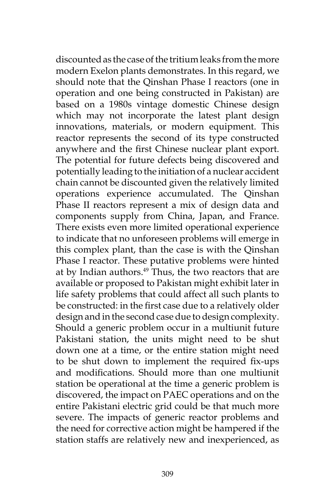discounted as the case of the tritium leaks from the more modern Exelon plants demonstrates. In this regard, we should note that the Qinshan Phase I reactors (one in operation and one being constructed in Pakistan) are based on a 1980s vintage domestic Chinese design which may not incorporate the latest plant design innovations, materials, or modern equipment. This reactor represents the second of its type constructed anywhere and the first Chinese nuclear plant export. The potential for future defects being discovered and potentially leading to the initiation of a nuclear accident chain cannot be discounted given the relatively limited operations experience accumulated. The Qinshan Phase II reactors represent a mix of design data and components supply from China, Japan, and France. There exists even more limited operational experience to indicate that no unforeseen problems will emerge in this complex plant, than the case is with the Qinshan Phase I reactor. These putative problems were hinted at by Indian authors.<sup>49</sup> Thus, the two reactors that are available or proposed to Pakistan might exhibit later in life safety problems that could affect all such plants to be constructed: in the first case due to a relatively older design and in the second case due to design complexity. Should a generic problem occur in a multiunit future Pakistani station, the units might need to be shut down one at a time, or the entire station might need to be shut down to implement the required fix-ups and modifications. Should more than one multiunit station be operational at the time a generic problem is discovered, the impact on PAEC operations and on the entire Pakistani electric grid could be that much more severe. The impacts of generic reactor problems and the need for corrective action might be hampered if the station staffs are relatively new and inexperienced, as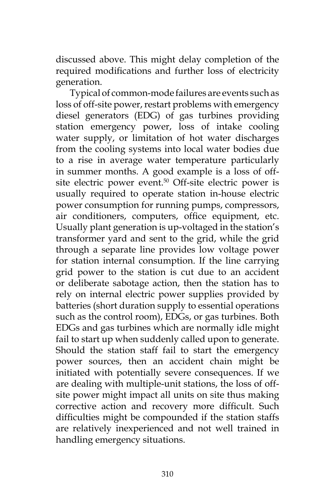discussed above. This might delay completion of the required modifications and further loss of electricity generation.

Typical of common-mode failures are events such as loss of off-site power, restart problems with emergency diesel generators (EDG) of gas turbines providing station emergency power, loss of intake cooling water supply, or limitation of hot water discharges from the cooling systems into local water bodies due to a rise in average water temperature particularly in summer months. A good example is a loss of offsite electric power event.<sup>50</sup> Off-site electric power is usually required to operate station in-house electric power consumption for running pumps, compressors, air conditioners, computers, office equipment, etc. Usually plant generation is up-voltaged in the station's transformer yard and sent to the grid, while the grid through a separate line provides low voltage power for station internal consumption. If the line carrying grid power to the station is cut due to an accident or deliberate sabotage action, then the station has to rely on internal electric power supplies provided by batteries (short duration supply to essential operations such as the control room), EDGs, or gas turbines. Both EDGs and gas turbines which are normally idle might fail to start up when suddenly called upon to generate. Should the station staff fail to start the emergency power sources, then an accident chain might be initiated with potentially severe consequences. If we are dealing with multiple-unit stations, the loss of offsite power might impact all units on site thus making corrective action and recovery more difficult. Such difficulties might be compounded if the station staffs are relatively inexperienced and not well trained in handling emergency situations.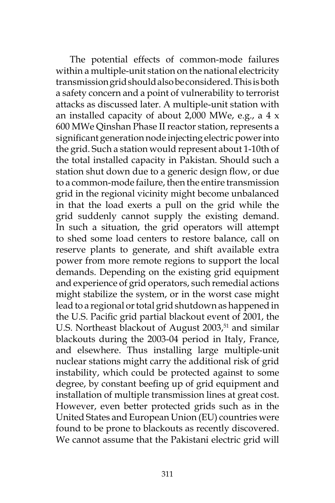The potential effects of common-mode failures within a multiple-unit station on the national electricity transmission grid should also be considered. This is both a safety concern and a point of vulnerability to terrorist attacks as discussed later. A multiple-unit station with an installed capacity of about 2,000 MWe, e.g., a  $4 \times$ 600 MWe Qinshan Phase II reactor station, represents a significant generation node injecting electric power into the grid. Such a station would represent about 1-10th of the total installed capacity in Pakistan. Should such a station shut down due to a generic design flow, or due to a common-mode failure, then the entire transmission grid in the regional vicinity might become unbalanced in that the load exerts a pull on the grid while the grid suddenly cannot supply the existing demand. In such a situation, the grid operators will attempt to shed some load centers to restore balance, call on reserve plants to generate, and shift available extra power from more remote regions to support the local demands. Depending on the existing grid equipment and experience of grid operators, such remedial actions might stabilize the system, or in the worst case might lead to a regional or total grid shutdown as happened in the U.S. Pacific grid partial blackout event of 2001, the U.S. Northeast blackout of August 2003,<sup>51</sup> and similar blackouts during the 2003-04 period in Italy, France, and elsewhere. Thus installing large multiple-unit nuclear stations might carry the additional risk of grid instability, which could be protected against to some degree, by constant beefing up of grid equipment and installation of multiple transmission lines at great cost. However, even better protected grids such as in the United States and European Union (EU) countries were found to be prone to blackouts as recently discovered. We cannot assume that the Pakistani electric grid will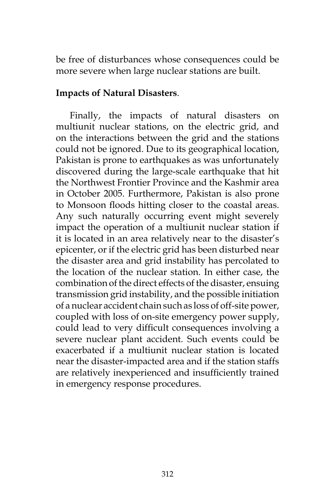be free of disturbances whose consequences could be more severe when large nuclear stations are built.

#### **Impacts of Natural Disasters**.

Finally, the impacts of natural disasters on multiunit nuclear stations, on the electric grid, and on the interactions between the grid and the stations could not be ignored. Due to its geographical location, Pakistan is prone to earthquakes as was unfortunately discovered during the large-scale earthquake that hit the Northwest Frontier Province and the Kashmir area in October 2005. Furthermore, Pakistan is also prone to Monsoon floods hitting closer to the coastal areas. Any such naturally occurring event might severely impact the operation of a multiunit nuclear station if it is located in an area relatively near to the disaster's epicenter, or if the electric grid has been disturbed near the disaster area and grid instability has percolated to the location of the nuclear station. In either case, the combination of the direct effects of the disaster, ensuing transmission grid instability, and the possible initiation of a nuclear accident chain such as loss of off-site power, coupled with loss of on-site emergency power supply, could lead to very difficult consequences involving a severe nuclear plant accident. Such events could be exacerbated if a multiunit nuclear station is located near the disaster-impacted area and if the station staffs are relatively inexperienced and insufficiently trained in emergency response procedures.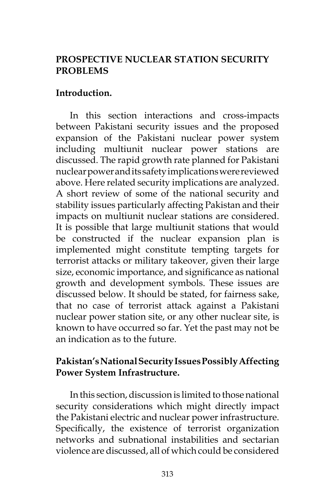# **PROSPECTIVE NUCLEAR STATION SECURITY PROBLEMS**

### **Introduction.**

In this section interactions and cross-impacts between Pakistani security issues and the proposed expansion of the Pakistani nuclear power system including multiunit nuclear power stations are discussed. The rapid growth rate planned for Pakistani nuclear power and its safety implications were reviewed above. Here related security implications are analyzed. A short review of some of the national security and stability issues particularly affecting Pakistan and their impacts on multiunit nuclear stations are considered. It is possible that large multiunit stations that would be constructed if the nuclear expansion plan is implemented might constitute tempting targets for terrorist attacks or military takeover, given their large size, economic importance, and significance as national growth and development symbols. These issues are discussed below. It should be stated, for fairness sake, that no case of terrorist attack against a Pakistani nuclear power station site, or any other nuclear site, is known to have occurred so far. Yet the past may not be an indication as to the future.

# **Pakistan's National Security Issues Possibly Affecting Power System Infrastructure.**

In this section, discussion is limited to those national security considerations which might directly impact the Pakistani electric and nuclear power infrastructure. Specifically, the existence of terrorist organization networks and subnational instabilities and sectarian violence are discussed, all of which could be considered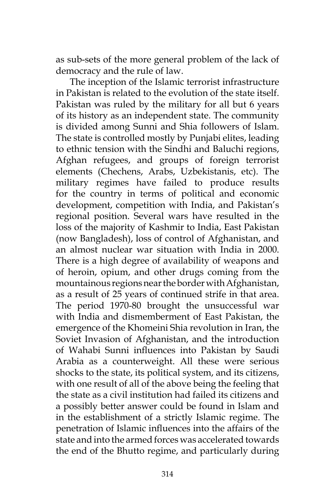as sub-sets of the more general problem of the lack of democracy and the rule of law.

The inception of the Islamic terrorist infrastructure in Pakistan is related to the evolution of the state itself. Pakistan was ruled by the military for all but 6 years of its history as an independent state. The community is divided among Sunni and Shia followers of Islam. The state is controlled mostly by Punjabi elites, leading to ethnic tension with the Sindhi and Baluchi regions, Afghan refugees, and groups of foreign terrorist elements (Chechens, Arabs, Uzbekistanis, etc). The military regimes have failed to produce results for the country in terms of political and economic development, competition with India, and Pakistan's regional position. Several wars have resulted in the loss of the majority of Kashmir to India, East Pakistan (now Bangladesh), loss of control of Afghanistan, and an almost nuclear war situation with India in 2000. There is a high degree of availability of weapons and of heroin, opium, and other drugs coming from the mountainous regions near the border with Afghanistan, as a result of 25 years of continued strife in that area. The period 1970-80 brought the unsuccessful war with India and dismemberment of East Pakistan, the emergence of the Khomeini Shia revolution in Iran, the Soviet Invasion of Afghanistan, and the introduction of Wahabi Sunni influences into Pakistan by Saudi Arabia as a counterweight. All these were serious shocks to the state, its political system, and its citizens, with one result of all of the above being the feeling that the state as a civil institution had failed its citizens and a possibly better answer could be found in Islam and in the establishment of a strictly Islamic regime. The penetration of Islamic influences into the affairs of the state and into the armed forces was accelerated towards the end of the Bhutto regime, and particularly during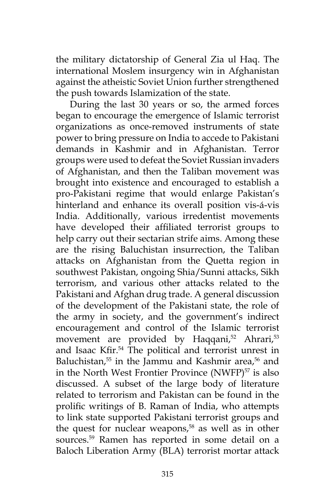the military dictatorship of General Zia ul Haq. The international Moslem insurgency win in Afghanistan against the atheistic Soviet Union further strengthened the push towards Islamization of the state.

During the last 30 years or so, the armed forces began to encourage the emergence of Islamic terrorist organizations as once-removed instruments of state power to bring pressure on India to accede to Pakistani demands in Kashmir and in Afghanistan. Terror groups were used to defeat the Soviet Russian invaders of Afghanistan, and then the Taliban movement was brought into existence and encouraged to establish a pro-Pakistani regime that would enlarge Pakistan's hinterland and enhance its overall position vis-á-vis India. Additionally, various irredentist movements have developed their affiliated terrorist groups to help carry out their sectarian strife aims. Among these are the rising Baluchistan insurrection, the Taliban attacks on Afghanistan from the Quetta region in southwest Pakistan, ongoing Shia/Sunni attacks, Sikh terrorism, and various other attacks related to the Pakistani and Afghan drug trade. A general discussion of the development of the Pakistani state, the role of the army in society, and the government's indirect encouragement and control of the Islamic terrorist movement are provided by Haqqani,<sup>52</sup> Ahrari,<sup>53</sup> and Isaac Kfir.<sup>54</sup> The political and terrorist unrest in Baluchistan,<sup>55</sup> in the Jammu and Kashmir area,<sup>56</sup> and in the North West Frontier Province (NWFP)<sup>57</sup> is also discussed. A subset of the large body of literature related to terrorism and Pakistan can be found in the prolific writings of B. Raman of India, who attempts to link state supported Pakistani terrorist groups and the quest for nuclear weapons,<sup>58</sup> as well as in other sources.59 Ramen has reported in some detail on a Baloch Liberation Army (BLA) terrorist mortar attack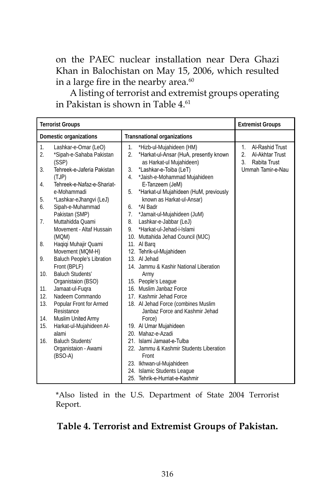on the PAEC nuclear installation near Dera Ghazi Khan in Balochistan on May 15, 2006, which resulted in a large fire in the nearby area.<sup>60</sup>

A listing of terrorist and extremist groups operating in Pakistan is shown in Table 4.<sup>61</sup>

|                        | <b>Terrorist Groups</b>                                           |                   |                                                                                                |                                 | <b>Extremist Groups</b>                            |
|------------------------|-------------------------------------------------------------------|-------------------|------------------------------------------------------------------------------------------------|---------------------------------|----------------------------------------------------|
| Domestic organizations |                                                                   |                   | <b>Transnational organizations</b>                                                             |                                 |                                                    |
| 1.<br>2.               | Lashkar-e-Omar (LeO)<br>*Sipah-e-Sahaba Pakistan<br>(SSP)         | $1_{\cdot}$<br>2. | *Hizb-ul-Mujahideen (HM)<br>*Harkat-ul-Ansar (HuA, presently known<br>as Harkat-ul Mujahideen) | 1.<br>$\mathfrak{p}$<br>$3_{-}$ | Al-Rashid Trust<br>Al-Akhtar Trust<br>Rabita Trust |
| 3.                     | Tehreek-e-Jaferia Pakistan<br>(TJP)<br>Tehreek-e-Nafaz-e-Shariat- | 3.<br>4.          | *Lashkar-e-Toiba (LeT)<br>*Jaish-e-Mohammad Mujahideen                                         |                                 | Ummah Tamir-e-Nau                                  |
| 4.                     | e-Mohammadi                                                       | 5.                | E-Tanzeem (JeM)<br>*Harkat-ul Mujahideen (HuM, previously                                      |                                 |                                                    |
| 5.<br>6.               | *Lashkar-eJhangvi (LeJ)<br>Sipah-e-Muhammad                       | 6.                | known as Harkat-ul-Ansar)<br>*Al Badr                                                          |                                 |                                                    |
| 7 <sub>1</sub>         | Pakistan (SMP)<br>Muttahidda Quami<br>Movement - Altaf Hussain    | 7.<br>8.<br>9.    | *Jamait-ul-Mujahideen (JuM)<br>Lashkar-e-Jabbar (LeJ)<br>*Harkat-ul-Jehad-i-Islami             |                                 |                                                    |
| 8.                     | (MQM)<br>Haqiqi Muhajir Quami<br>Movement (MQM-H)                 |                   | 10. Muttahida Jehad Council (MJC)<br>11. Al Barg<br>12. Tehrik-ul-Mujahideen                   |                                 |                                                    |
| 9.                     | <b>Baluch People's Libration</b><br>Front (BPLF)                  |                   | 13. Al Jehad<br>14. Jammu & Kashir National Liberation                                         |                                 |                                                    |
| 10.                    | <b>Baluch Students'</b><br>Organistaion (BSO)                     |                   | Army<br>15. People's League                                                                    |                                 |                                                    |
| 11.<br>12.             | Jamaat-ul-Fugra<br>Nadeem Commando                                |                   | 16. Muslim Janbaz Force<br>17. Kashmir Jehad Force                                             |                                 |                                                    |
| 13.                    | Popular Front for Armed<br>Resistance                             |                   | 18. Al Jehad Force (combines Muslim<br>Janbaz Force and Kashmir Jehad                          |                                 |                                                    |
| 14.<br>15.             | Muslim United Army<br>Harkat-ul-Mujahideen Al-                    |                   | Force)<br>19. Al Umar Mujahideen                                                               |                                 |                                                    |
| 16.                    | alami<br><b>Baluch Students'</b>                                  |                   | 20. Mahaz-e-Azadi<br>21. Islami Jamaat-e-Tulba                                                 |                                 |                                                    |
|                        | Organistaion - Awami<br>$(BSO-A)$                                 |                   | 22. Jammu & Kashmir Students Liberation<br>Front                                               |                                 |                                                    |
|                        |                                                                   |                   | 23. Ikhwan-ul-Mujahideen<br>24. Islamic Students League<br>25. Tehrik-e-Hurriat-e-Kashmir      |                                 |                                                    |

\*Also listed in the U.S. Department of State 2004 Terrorist Report.

# **Table 4. Terrorist and Extremist Groups of Pakistan.**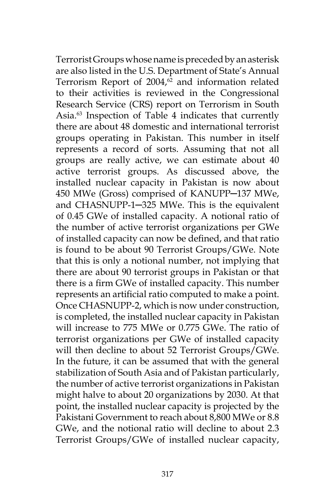Terrorist Groups whose name is preceded by an asterisk are also listed in the U.S. Department of State's Annual Terrorism Report of  $2004<sup>62</sup>$  and information related to their activities is reviewed in the Congressional Research Service (CRS) report on Terrorism in South Asia.63 Inspection of Table 4 indicates that currently there are about 48 domestic and international terrorist groups operating in Pakistan. This number in itself represents a record of sorts. Assuming that not all groups are really active, we can estimate about 40 active terrorist groups. As discussed above, the installed nuclear capacity in Pakistan is now about 450 MWe (Gross) comprised of KANUPP─137 MWe, and CHASNUPP-1─325 MWe. This is the equivalent of 0.45 GWe of installed capacity. A notional ratio of the number of active terrorist organizations per GWe of installed capacity can now be defined, and that ratio is found to be about 90 Terrorist Groups/GWe. Note that this is only a notional number, not implying that there are about 90 terrorist groups in Pakistan or that there is a firm GWe of installed capacity. This number represents an artificial ratio computed to make a point. Once CHASNUPP-2, which is now under construction, is completed, the installed nuclear capacity in Pakistan will increase to 775 MWe or 0.775 GWe. The ratio of terrorist organizations per GWe of installed capacity will then decline to about 52 Terrorist Groups/GWe. In the future, it can be assumed that with the general stabilization of South Asia and of Pakistan particularly, the number of active terrorist organizations in Pakistan might halve to about 20 organizations by 2030. At that point, the installed nuclear capacity is projected by the Pakistani Government to reach about 8,800 MWe or 8.8 GWe, and the notional ratio will decline to about 2.3 Terrorist Groups/GWe of installed nuclear capacity,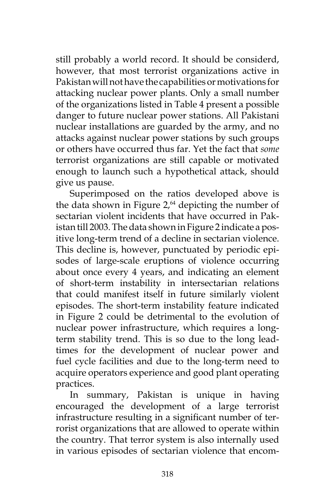still probably a world record. It should be considerd, however, that most terrorist organizations active in Pakistan will not have the capabilities or motivations for attacking nuclear power plants. Only a small number of the organizations listed in Table 4 present a possible danger to future nuclear power stations. All Pakistani nuclear installations are guarded by the army, and no attacks against nuclear power stations by such groups or others have occurred thus far. Yet the fact that *some* terrorist organizations are still capable or motivated enough to launch such a hypothetical attack, should give us pause.

Superimposed on the ratios developed above is the data shown in Figure  $2<sub>0</sub>$ <sup>64</sup> depicting the number of sectarian violent incidents that have occurred in Pakistan till 2003. The data shown in Figure 2 indicate a positive long-term trend of a decline in sectarian violence. This decline is, however, punctuated by periodic episodes of large-scale eruptions of violence occurring about once every 4 years, and indicating an element of short-term instability in intersectarian relations that could manifest itself in future similarly violent episodes. The short-term instability feature indicated in Figure 2 could be detrimental to the evolution of nuclear power infrastructure, which requires a longterm stability trend. This is so due to the long leadtimes for the development of nuclear power and fuel cycle facilities and due to the long-term need to acquire operators experience and good plant operating practices.

In summary, Pakistan is unique in having encouraged the development of a large terrorist infrastructure resulting in a significant number of terrorist organizations that are allowed to operate within the country. That terror system is also internally used in various episodes of sectarian violence that encom-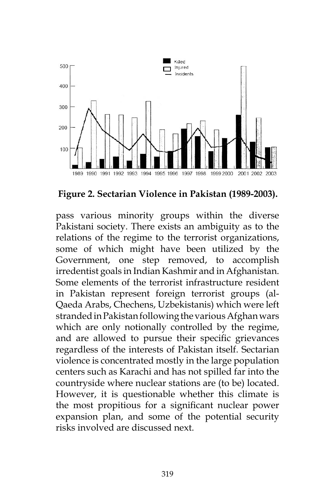

**Figure 2. Sectarian Violence in Pakistan (1989-2003).**

pass various minority groups within the diverse Pakistani society. There exists an ambiguity as to the relations of the regime to the terrorist organizations, some of which might have been utilized by the Government, one step removed, to accomplish irredentist goals in Indian Kashmir and in Afghanistan. Some elements of the terrorist infrastructure resident in Pakistan represent foreign terrorist groups (al-Qaeda Arabs, Chechens, Uzbekistanis) which were left stranded in Pakistan following the various Afghan wars which are only notionally controlled by the regime, and are allowed to pursue their specific grievances regardless of the interests of Pakistan itself. Sectarian violence is concentrated mostly in the large population centers such as Karachi and has not spilled far into the countryside where nuclear stations are (to be) located. However, it is questionable whether this climate is the most propitious for a significant nuclear power expansion plan, and some of the potential security risks involved are discussed next.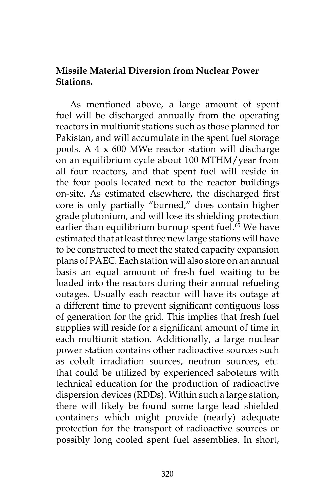### **Missile Material Diversion from Nuclear Power Stations.**

As mentioned above, a large amount of spent fuel will be discharged annually from the operating reactors in multiunit stations such as those planned for Pakistan, and will accumulate in the spent fuel storage pools. A 4 x 600 MWe reactor station will discharge on an equilibrium cycle about 100 MTHM/year from all four reactors, and that spent fuel will reside in the four pools located next to the reactor buildings on-site. As estimated elsewhere, the discharged first core is only partially "burned," does contain higher grade plutonium, and will lose its shielding protection earlier than equilibrium burnup spent fuel.<sup>65</sup> We have estimated that at least three new large stations will have to be constructed to meet the stated capacity expansion plans of PAEC. Each station will also store on an annual basis an equal amount of fresh fuel waiting to be loaded into the reactors during their annual refueling outages. Usually each reactor will have its outage at a different time to prevent significant contiguous loss of generation for the grid. This implies that fresh fuel supplies will reside for a significant amount of time in each multiunit station. Additionally, a large nuclear power station contains other radioactive sources such as cobalt irradiation sources, neutron sources, etc. that could be utilized by experienced saboteurs with technical education for the production of radioactive dispersion devices (RDDs). Within such a large station, there will likely be found some large lead shielded containers which might provide (nearly) adequate protection for the transport of radioactive sources or possibly long cooled spent fuel assemblies. In short,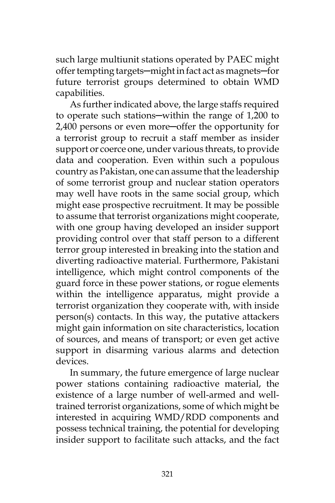such large multiunit stations operated by PAEC might offer tempting targets─might in fact act as magnets─for future terrorist groups determined to obtain WMD capabilities.

As further indicated above, the large staffs required to operate such stations—within the range of 1,200 to 2,400 persons or even more─offer the opportunity for a terrorist group to recruit a staff member as insider support or coerce one, under various threats, to provide data and cooperation. Even within such a populous country as Pakistan, one can assume that the leadership of some terrorist group and nuclear station operators may well have roots in the same social group, which might ease prospective recruitment. It may be possible to assume that terrorist organizations might cooperate, with one group having developed an insider support providing control over that staff person to a different terror group interested in breaking into the station and diverting radioactive material. Furthermore, Pakistani intelligence, which might control components of the guard force in these power stations, or rogue elements within the intelligence apparatus, might provide a terrorist organization they cooperate with, with inside person(s) contacts. In this way, the putative attackers might gain information on site characteristics, location of sources, and means of transport; or even get active support in disarming various alarms and detection devices.

In summary, the future emergence of large nuclear power stations containing radioactive material, the existence of a large number of well-armed and welltrained terrorist organizations, some of which might be interested in acquiring WMD/RDD components and possess technical training, the potential for developing insider support to facilitate such attacks, and the fact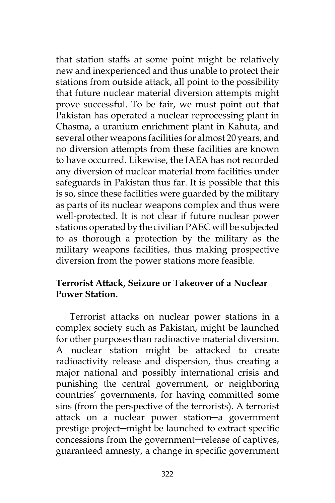that station staffs at some point might be relatively new and inexperienced and thus unable to protect their stations from outside attack, all point to the possibility that future nuclear material diversion attempts might prove successful. To be fair, we must point out that Pakistan has operated a nuclear reprocessing plant in Chasma, a uranium enrichment plant in Kahuta, and several other weapons facilities for almost 20 years, and no diversion attempts from these facilities are known to have occurred. Likewise, the IAEA has not recorded any diversion of nuclear material from facilities under safeguards in Pakistan thus far. It is possible that this is so, since these facilities were guarded by the military as parts of its nuclear weapons complex and thus were well-protected. It is not clear if future nuclear power stations operated by the civilian PAEC will be subjected to as thorough a protection by the military as the military weapons facilities, thus making prospective diversion from the power stations more feasible.

# **Terrorist Attack, Seizure or Takeover of a Nuclear Power Station.**

Terrorist attacks on nuclear power stations in a complex society such as Pakistan, might be launched for other purposes than radioactive material diversion. A nuclear station might be attacked to create radioactivity release and dispersion, thus creating a major national and possibly international crisis and punishing the central government, or neighboring countries' governments, for having committed some sins (from the perspective of the terrorists). A terrorist attack on a nuclear power station─a government prestige project─might be launched to extract specific concessions from the government-release of captives, guaranteed amnesty, a change in specific government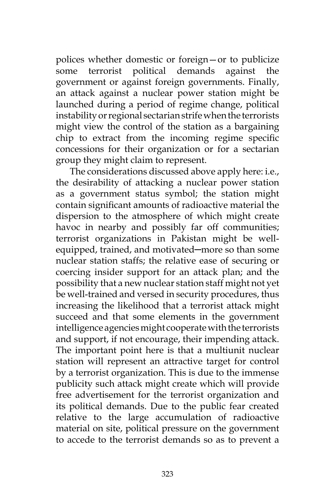polices whether domestic or foreign—or to publicize some terrorist political demands against the government or against foreign governments. Finally, an attack against a nuclear power station might be launched during a period of regime change, political instability or regional sectarian strife when the terrorists might view the control of the station as a bargaining chip to extract from the incoming regime specific concessions for their organization or for a sectarian group they might claim to represent.

The considerations discussed above apply here: i.e., the desirability of attacking a nuclear power station as a government status symbol; the station might contain significant amounts of radioactive material the dispersion to the atmosphere of which might create havoc in nearby and possibly far off communities; terrorist organizations in Pakistan might be wellequipped, trained, and motivated-more so than some nuclear station staffs; the relative ease of securing or coercing insider support for an attack plan; and the possibility that a new nuclear station staff might not yet be well-trained and versed in security procedures, thus increasing the likelihood that a terrorist attack might succeed and that some elements in the government intelligence agencies might cooperate with the terrorists and support, if not encourage, their impending attack. The important point here is that a multiunit nuclear station will represent an attractive target for control by a terrorist organization. This is due to the immense publicity such attack might create which will provide free advertisement for the terrorist organization and its political demands. Due to the public fear created relative to the large accumulation of radioactive material on site, political pressure on the government to accede to the terrorist demands so as to prevent a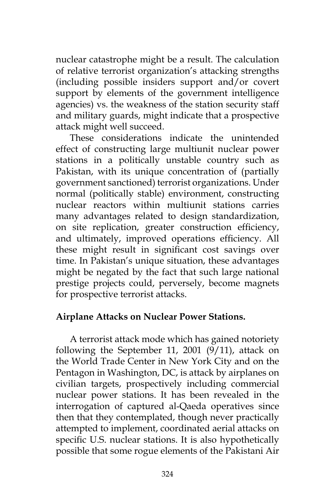nuclear catastrophe might be a result. The calculation of relative terrorist organization's attacking strengths (including possible insiders support and/or covert support by elements of the government intelligence agencies) vs. the weakness of the station security staff and military guards, might indicate that a prospective attack might well succeed.

These considerations indicate the unintended effect of constructing large multiunit nuclear power stations in a politically unstable country such as Pakistan, with its unique concentration of (partially government sanctioned) terrorist organizations. Under normal (politically stable) environment, constructing nuclear reactors within multiunit stations carries many advantages related to design standardization, on site replication, greater construction efficiency, and ultimately, improved operations efficiency. All these might result in significant cost savings over time. In Pakistan's unique situation, these advantages might be negated by the fact that such large national prestige projects could, perversely, become magnets for prospective terrorist attacks.

#### **Airplane Attacks on Nuclear Power Stations.**

A terrorist attack mode which has gained notoriety following the September 11, 2001 (9/11), attack on the World Trade Center in New York City and on the Pentagon in Washington, DC, is attack by airplanes on civilian targets, prospectively including commercial nuclear power stations. It has been revealed in the interrogation of captured al-Qaeda operatives since then that they contemplated, though never practically attempted to implement, coordinated aerial attacks on specific U.S. nuclear stations. It is also hypothetically possible that some rogue elements of the Pakistani Air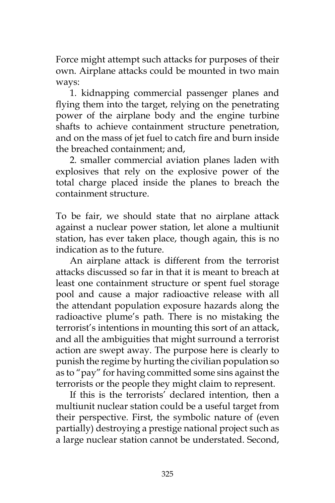Force might attempt such attacks for purposes of their own. Airplane attacks could be mounted in two main ways:

1. kidnapping commercial passenger planes and flying them into the target, relying on the penetrating power of the airplane body and the engine turbine shafts to achieve containment structure penetration, and on the mass of jet fuel to catch fire and burn inside the breached containment; and,

2. smaller commercial aviation planes laden with explosives that rely on the explosive power of the total charge placed inside the planes to breach the containment structure.

To be fair, we should state that no airplane attack against a nuclear power station, let alone a multiunit station, has ever taken place, though again, this is no indication as to the future.

An airplane attack is different from the terrorist attacks discussed so far in that it is meant to breach at least one containment structure or spent fuel storage pool and cause a major radioactive release with all the attendant population exposure hazards along the radioactive plume's path. There is no mistaking the terrorist's intentions in mounting this sort of an attack, and all the ambiguities that might surround a terrorist action are swept away. The purpose here is clearly to punish the regime by hurting the civilian population so as to "pay" for having committed some sins against the terrorists or the people they might claim to represent.

If this is the terrorists' declared intention, then a multiunit nuclear station could be a useful target from their perspective. First, the symbolic nature of (even partially) destroying a prestige national project such as a large nuclear station cannot be understated. Second,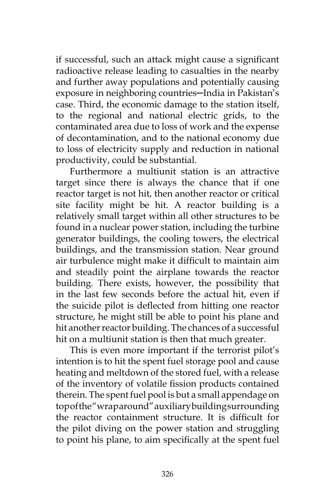if successful, such an attack might cause a significant radioactive release leading to casualties in the nearby and further away populations and potentially causing exposure in neighboring countries-India in Pakistan's case. Third, the economic damage to the station itself, to the regional and national electric grids, to the contaminated area due to loss of work and the expense of decontamination, and to the national economy due to loss of electricity supply and reduction in national productivity, could be substantial.

Furthermore a multiunit station is an attractive target since there is always the chance that if one reactor target is not hit, then another reactor or critical site facility might be hit. A reactor building is a relatively small target within all other structures to be found in a nuclear power station, including the turbine generator buildings, the cooling towers, the electrical buildings, and the transmission station. Near ground air turbulence might make it difficult to maintain aim and steadily point the airplane towards the reactor building. There exists, however, the possibility that in the last few seconds before the actual hit, even if the suicide pilot is deflected from hitting one reactor structure, he might still be able to point his plane and hit another reactor building. The chances of a successful hit on a multiunit station is then that much greater.

This is even more important if the terrorist pilot's intention is to hit the spent fuel storage pool and cause heating and meltdown of the stored fuel, with a release of the inventory of volatile fission products contained therein. The spent fuel pool is but a small appendage on top of the "wrap around" auxiliary building surrounding the reactor containment structure. It is difficult for the pilot diving on the power station and struggling to point his plane, to aim specifically at the spent fuel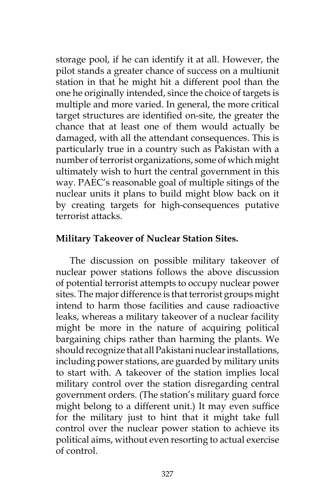storage pool, if he can identify it at all. However, the pilot stands a greater chance of success on a multiunit station in that he might hit a different pool than the one he originally intended, since the choice of targets is multiple and more varied. In general, the more critical target structures are identified on-site, the greater the chance that at least one of them would actually be damaged, with all the attendant consequences. This is particularly true in a country such as Pakistan with a number of terrorist organizations, some of which might ultimately wish to hurt the central government in this way. PAEC's reasonable goal of multiple sitings of the nuclear units it plans to build might blow back on it by creating targets for high-consequences putative terrorist attacks.

### **Military Takeover of Nuclear Station Sites.**

The discussion on possible military takeover of nuclear power stations follows the above discussion of potential terrorist attempts to occupy nuclear power sites. The major difference is that terrorist groups might intend to harm those facilities and cause radioactive leaks, whereas a military takeover of a nuclear facility might be more in the nature of acquiring political bargaining chips rather than harming the plants. We should recognize that all Pakistani nuclear installations, including power stations, are guarded by military units to start with. A takeover of the station implies local military control over the station disregarding central government orders. (The station's military guard force might belong to a different unit.) It may even suffice for the military just to hint that it might take full control over the nuclear power station to achieve its political aims, without even resorting to actual exercise of control.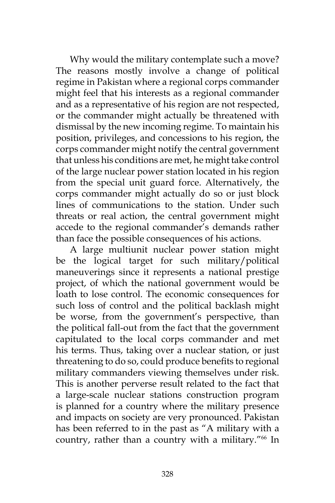Why would the military contemplate such a move? The reasons mostly involve a change of political regime in Pakistan where a regional corps commander might feel that his interests as a regional commander and as a representative of his region are not respected, or the commander might actually be threatened with dismissal by the new incoming regime. To maintain his position, privileges, and concessions to his region, the corps commander might notify the central government that unless his conditions are met, he might take control of the large nuclear power station located in his region from the special unit guard force. Alternatively, the corps commander might actually do so or just block lines of communications to the station. Under such threats or real action, the central government might accede to the regional commander's demands rather than face the possible consequences of his actions.

A large multiunit nuclear power station might be the logical target for such military/political maneuverings since it represents a national prestige project, of which the national government would be loath to lose control. The economic consequences for such loss of control and the political backlash might be worse, from the government's perspective, than the political fall-out from the fact that the government capitulated to the local corps commander and met his terms. Thus, taking over a nuclear station, or just threatening to do so, could produce benefits to regional military commanders viewing themselves under risk. This is another perverse result related to the fact that a large-scale nuclear stations construction program is planned for a country where the military presence and impacts on society are very pronounced. Pakistan has been referred to in the past as "A military with a country, rather than a country with a military."<sup>66</sup> In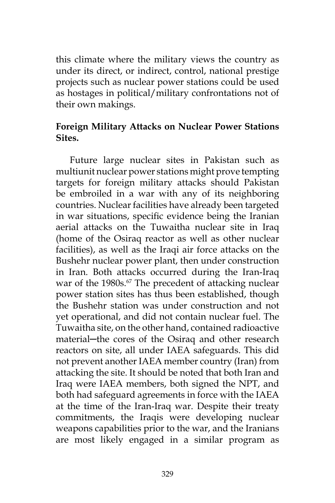this climate where the military views the country as under its direct, or indirect, control, national prestige projects such as nuclear power stations could be used as hostages in political/military confrontations not of their own makings.

### **Foreign Military Attacks on Nuclear Power Stations Sites.**

Future large nuclear sites in Pakistan such as multiunit nuclear power stations might prove tempting targets for foreign military attacks should Pakistan be embroiled in a war with any of its neighboring countries. Nuclear facilities have already been targeted in war situations, specific evidence being the Iranian aerial attacks on the Tuwaitha nuclear site in Iraq (home of the Osiraq reactor as well as other nuclear facilities), as well as the Iraqi air force attacks on the Bushehr nuclear power plant, then under construction in Iran. Both attacks occurred during the Iran-Iraq war of the 1980s.<sup>67</sup> The precedent of attacking nuclear power station sites has thus been established, though the Bushehr station was under construction and not yet operational, and did not contain nuclear fuel. The Tuwaitha site, on the other hand, contained radioactive material—the cores of the Osiraq and other research reactors on site, all under IAEA safeguards. This did not prevent another IAEA member country (Iran) from attacking the site. It should be noted that both Iran and Iraq were IAEA members, both signed the NPT, and both had safeguard agreements in force with the IAEA at the time of the Iran-Iraq war. Despite their treaty commitments, the Iraqis were developing nuclear weapons capabilities prior to the war, and the Iranians are most likely engaged in a similar program as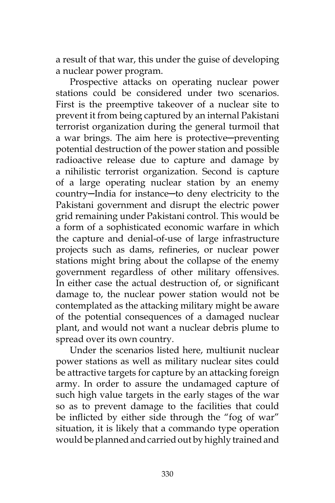a result of that war, this under the guise of developing a nuclear power program.

Prospective attacks on operating nuclear power stations could be considered under two scenarios. First is the preemptive takeover of a nuclear site to prevent it from being captured by an internal Pakistani terrorist organization during the general turmoil that a war brings. The aim here is protective-preventing potential destruction of the power station and possible radioactive release due to capture and damage by a nihilistic terrorist organization. Second is capture of a large operating nuclear station by an enemy country─India for instance─to deny electricity to the Pakistani government and disrupt the electric power grid remaining under Pakistani control. This would be a form of a sophisticated economic warfare in which the capture and denial-of-use of large infrastructure projects such as dams, refineries, or nuclear power stations might bring about the collapse of the enemy government regardless of other military offensives. In either case the actual destruction of, or significant damage to, the nuclear power station would not be contemplated as the attacking military might be aware of the potential consequences of a damaged nuclear plant, and would not want a nuclear debris plume to spread over its own country.

Under the scenarios listed here, multiunit nuclear power stations as well as military nuclear sites could be attractive targets for capture by an attacking foreign army. In order to assure the undamaged capture of such high value targets in the early stages of the war so as to prevent damage to the facilities that could be inflicted by either side through the "fog of war" situation, it is likely that a commando type operation would be planned and carried out by highly trained and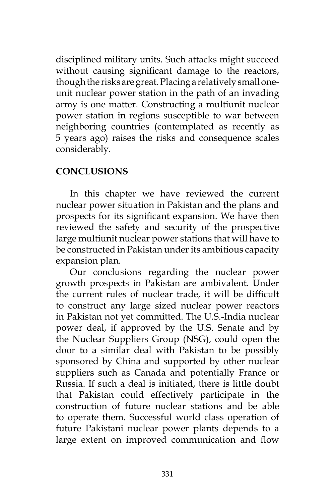disciplined military units. Such attacks might succeed without causing significant damage to the reactors, though the risks are great. Placing a relatively small oneunit nuclear power station in the path of an invading army is one matter. Constructing a multiunit nuclear power station in regions susceptible to war between neighboring countries (contemplated as recently as 5 years ago) raises the risks and consequence scales considerably.

# **CONCLUSIONS**

In this chapter we have reviewed the current nuclear power situation in Pakistan and the plans and prospects for its significant expansion. We have then reviewed the safety and security of the prospective large multiunit nuclear power stations that will have to be constructed in Pakistan under its ambitious capacity expansion plan.

Our conclusions regarding the nuclear power growth prospects in Pakistan are ambivalent. Under the current rules of nuclear trade, it will be difficult to construct any large sized nuclear power reactors in Pakistan not yet committed. The U.S.-India nuclear power deal, if approved by the U.S. Senate and by the Nuclear Suppliers Group (NSG), could open the door to a similar deal with Pakistan to be possibly sponsored by China and supported by other nuclear suppliers such as Canada and potentially France or Russia. If such a deal is initiated, there is little doubt that Pakistan could effectively participate in the construction of future nuclear stations and be able to operate them. Successful world class operation of future Pakistani nuclear power plants depends to a large extent on improved communication and flow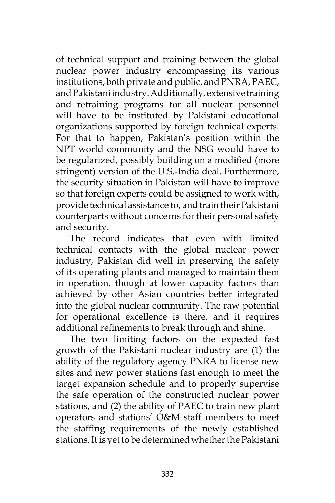of technical support and training between the global nuclear power industry encompassing its various institutions, both private and public, and PNRA, PAEC, and Pakistani industry. Additionally, extensive training and retraining programs for all nuclear personnel will have to be instituted by Pakistani educational organizations supported by foreign technical experts. For that to happen, Pakistan's position within the NPT world community and the NSG would have to be regularized, possibly building on a modified (more stringent) version of the U.S.-India deal. Furthermore, the security situation in Pakistan will have to improve so that foreign experts could be assigned to work with, provide technical assistance to, and train their Pakistani counterparts without concerns for their personal safety and security.

The record indicates that even with limited technical contacts with the global nuclear power industry, Pakistan did well in preserving the safety of its operating plants and managed to maintain them in operation, though at lower capacity factors than achieved by other Asian countries better integrated into the global nuclear community. The raw potential for operational excellence is there, and it requires additional refinements to break through and shine.

The two limiting factors on the expected fast growth of the Pakistani nuclear industry are (1) the ability of the regulatory agency PNRA to license new sites and new power stations fast enough to meet the target expansion schedule and to properly supervise the safe operation of the constructed nuclear power stations, and (2) the ability of PAEC to train new plant operators and stations' O&M staff members to meet the staffing requirements of the newly established stations. It is yet to be determined whether the Pakistani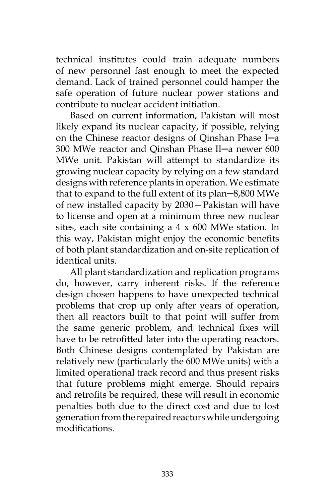technical institutes could train adequate numbers of new personnel fast enough to meet the expected demand. Lack of trained personnel could hamper the safe operation of future nuclear power stations and contribute to nuclear accident initiation.

Based on current information, Pakistan will most likely expand its nuclear capacity, if possible, relying on the Chinese reactor designs of Qinshan Phase I─a 300 MWe reactor and Qinshan Phase II─a newer 600 MWe unit. Pakistan will attempt to standardize its growing nuclear capacity by relying on a few standard designs with reference plants in operation. We estimate that to expand to the full extent of its plan─8,800 MWe of new installed capacity by 2030—Pakistan will have to license and open at a minimum three new nuclear sites, each site containing a  $4 \times 600$  MWe station. In this way, Pakistan might enjoy the economic benefits of both plant standardization and on-site replication of identical units.

All plant standardization and replication programs do, however, carry inherent risks. If the reference design chosen happens to have unexpected technical problems that crop up only after years of operation, then all reactors built to that point will suffer from the same generic problem, and technical fixes will have to be retrofitted later into the operating reactors. Both Chinese designs contemplated by Pakistan are relatively new (particularly the 600 MWe units) with a limited operational track record and thus present risks that future problems might emerge. Should repairs and retrofits be required, these will result in economic penalties both due to the direct cost and due to lost generation from the repaired reactors while undergoing modifications.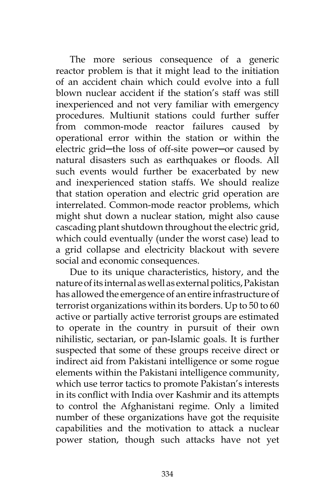The more serious consequence of a generic reactor problem is that it might lead to the initiation of an accident chain which could evolve into a full blown nuclear accident if the station's staff was still inexperienced and not very familiar with emergency procedures. Multiunit stations could further suffer from common-mode reactor failures caused by operational error within the station or within the electric grid-the loss of off-site power-or caused by natural disasters such as earthquakes or floods. All such events would further be exacerbated by new and inexperienced station staffs. We should realize that station operation and electric grid operation are interrelated. Common-mode reactor problems, which might shut down a nuclear station, might also cause cascading plant shutdown throughout the electric grid, which could eventually (under the worst case) lead to a grid collapse and electricity blackout with severe social and economic consequences.

Due to its unique characteristics, history, and the nature of its internal as well as external politics, Pakistan has allowed the emergence of an entire infrastructure of terrorist organizations within its borders. Up to 50 to 60 active or partially active terrorist groups are estimated to operate in the country in pursuit of their own nihilistic, sectarian, or pan-Islamic goals. It is further suspected that some of these groups receive direct or indirect aid from Pakistani intelligence or some rogue elements within the Pakistani intelligence community, which use terror tactics to promote Pakistan's interests in its conflict with India over Kashmir and its attempts to control the Afghanistani regime. Only a limited number of these organizations have got the requisite capabilities and the motivation to attack a nuclear power station, though such attacks have not yet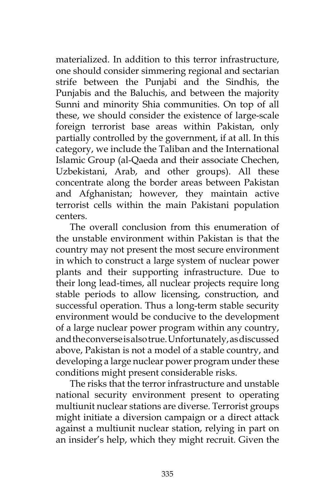materialized. In addition to this terror infrastructure, one should consider simmering regional and sectarian strife between the Punjabi and the Sindhis, the Punjabis and the Baluchis, and between the majority Sunni and minority Shia communities. On top of all these, we should consider the existence of large-scale foreign terrorist base areas within Pakistan, only partially controlled by the government, if at all. In this category, we include the Taliban and the International Islamic Group (al-Qaeda and their associate Chechen, Uzbekistani, Arab, and other groups). All these concentrate along the border areas between Pakistan and Afghanistan; however, they maintain active terrorist cells within the main Pakistani population centers.

The overall conclusion from this enumeration of the unstable environment within Pakistan is that the country may not present the most secure environment in which to construct a large system of nuclear power plants and their supporting infrastructure. Due to their long lead-times, all nuclear projects require long stable periods to allow licensing, construction, and successful operation. Thus a long-term stable security environment would be conducive to the development of a large nuclear power program within any country, and the converse is also true. Unfortunately, as discussed above, Pakistan is not a model of a stable country, and developing a large nuclear power program under these conditions might present considerable risks.

The risks that the terror infrastructure and unstable national security environment present to operating multiunit nuclear stations are diverse. Terrorist groups might initiate a diversion campaign or a direct attack against a multiunit nuclear station, relying in part on an insider's help, which they might recruit. Given the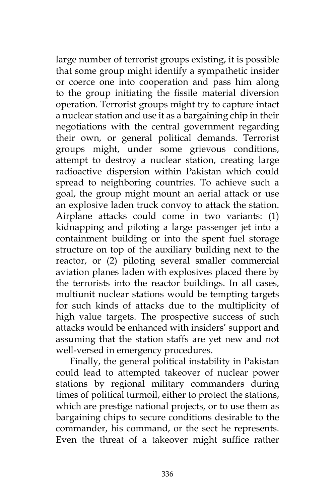large number of terrorist groups existing, it is possible that some group might identify a sympathetic insider or coerce one into cooperation and pass him along to the group initiating the fissile material diversion operation. Terrorist groups might try to capture intact a nuclear station and use it as a bargaining chip in their negotiations with the central government regarding their own, or general political demands. Terrorist groups might, under some grievous conditions, attempt to destroy a nuclear station, creating large radioactive dispersion within Pakistan which could spread to neighboring countries. To achieve such a goal, the group might mount an aerial attack or use an explosive laden truck convoy to attack the station. Airplane attacks could come in two variants: (1) kidnapping and piloting a large passenger jet into a containment building or into the spent fuel storage structure on top of the auxiliary building next to the reactor, or (2) piloting several smaller commercial aviation planes laden with explosives placed there by the terrorists into the reactor buildings. In all cases, multiunit nuclear stations would be tempting targets for such kinds of attacks due to the multiplicity of high value targets. The prospective success of such attacks would be enhanced with insiders' support and assuming that the station staffs are yet new and not well-versed in emergency procedures.

Finally, the general political instability in Pakistan could lead to attempted takeover of nuclear power stations by regional military commanders during times of political turmoil, either to protect the stations, which are prestige national projects, or to use them as bargaining chips to secure conditions desirable to the commander, his command, or the sect he represents. Even the threat of a takeover might suffice rather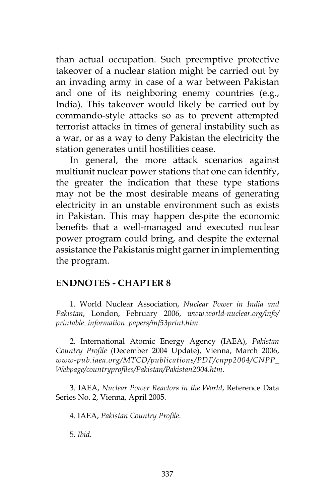than actual occupation. Such preemptive protective takeover of a nuclear station might be carried out by an invading army in case of a war between Pakistan and one of its neighboring enemy countries (e.g., India). This takeover would likely be carried out by commando-style attacks so as to prevent attempted terrorist attacks in times of general instability such as a war, or as a way to deny Pakistan the electricity the station generates until hostilities cease.

In general, the more attack scenarios against multiunit nuclear power stations that one can identify, the greater the indication that these type stations may not be the most desirable means of generating electricity in an unstable environment such as exists in Pakistan. This may happen despite the economic benefits that a well-managed and executed nuclear power program could bring, and despite the external assistance the Pakistanis might garner in implementing the program.

#### **ENDNOTES - CHAPTER 8**

1. World Nuclear Association, *Nuclear Power in India and Pakistan*, London, February 2006, *www.world-nuclear.org/info/ printable\_information\_papers/inf53print.htm*.

2. International Atomic Energy Agency (IAEA), *Pakistan Country Profile* (December 2004 Update), Vienna, March 2006, *www-pub.iaea.org/MTCD/publications/PDF/cnpp2004/CNPP\_ Webpage/countryprofiles/Pakistan/Pakistan2004.htm*.

3. IAEA, *Nuclear Power Reactors in the World*, Reference Data Series No. 2, Vienna, April 2005.

4. IAEA, *Pakistan Country Profile*.

5. *Ibid*.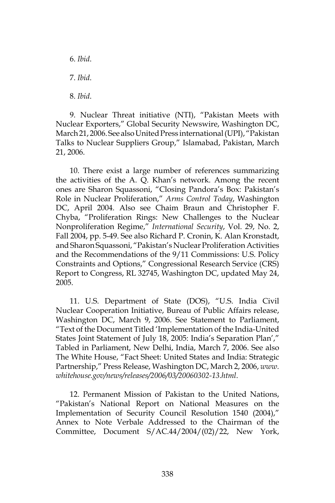6. *Ibid*. 7. *Ibid*. 8. *Ibid*.

9. Nuclear Threat initiative (NTI), "Pakistan Meets with Nuclear Exporters," Global Security Newswire, Washington DC, March 21, 2006. See also United Press international (UPI), "Pakistan Talks to Nuclear Suppliers Group," Islamabad, Pakistan, March 21, 2006.

10. There exist a large number of references summarizing the activities of the A. Q. Khan's network. Among the recent ones are Sharon Squassoni, "Closing Pandora's Box: Pakistan's Role in Nuclear Proliferation," *Arms Control Today*, Washington DC, April 2004. Also see Chaim Braun and Christopher F. Chyba, "Proliferation Rings: New Challenges to the Nuclear Nonproliferation Regime," *International Security*, Vol. 29, No. 2, Fall 2004, pp. 5-49. See also Richard P. Cronin, K. Alan Kronstadt, and Sharon Squassoni, "Pakistan's Nuclear Proliferation Activities and the Recommendations of the 9/11 Commissions: U.S. Policy Constraints and Options," Congressional Research Service (CRS) Report to Congress, RL 32745, Washington DC, updated May 24, 2005.

11. U.S. Department of State (DOS), "U.S. India Civil Nuclear Cooperation Initiative, Bureau of Public Affairs release, Washington DC, March 9, 2006. See Statement to Parliament, "Text of the Document Titled 'Implementation of the India-United States Joint Statement of July 18, 2005: India's Separation Plan'," Tabled in Parliament, New Delhi, India, March 7, 2006. See also The White House, "Fact Sheet: United States and India: Strategic Partnership," Press Release, Washington DC, March 2, 2006, *www. whitehouse.gov/news/releases/2006/03/20060302-13.html*.

12. Permanent Mission of Pakistan to the United Nations, "Pakistan's National Report on National Measures on the Implementation of Security Council Resolution 1540 (2004)," Annex to Note Verbale Addressed to the Chairman of the Committee, Document S/AC.44/2004/(02)/22, New York,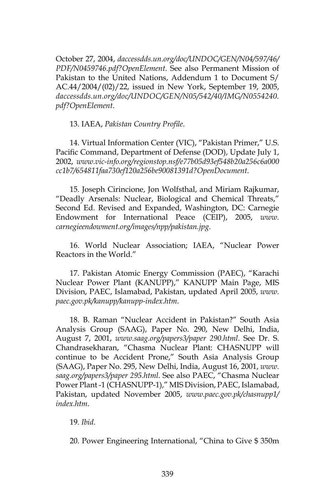October 27, 2004, *daccessdds.un.org/doc/UNDOC/GEN/N04/597/46/ PDF/N0459746.pdf?OpenElement*. See also Permanent Mission of Pakistan to the United Nations, Addendum 1 to Document S/ AC.44/2004/(02)/22, issued in New York, September 19, 2005, *daccessdds.un.org/doc/UNDOC/GEN/N05/542/40/IMG/N0554240. pdf?OpenElement*.

13. IAEA, *Pakistan Country Profile*.

14. Virtual Information Center (VIC), "Pakistan Primer," U.S. Pacific Command, Department of Defense (DOD), Update July 1, 2002, *www.vic-info.org/regionstop.nsf/e77b05d93ef548b20a256c6a000 cc1b7/654811faa730ef120a256be90081391d?OpenDocument*.

15. Joseph Cirincione, Jon Wolfsthal, and Miriam Rajkumar, "Deadly Arsenals: Nuclear, Biological and Chemical Threats," Second Ed. Revised and Expanded, Washington, DC: Carnegie Endowment for International Peace (CEIP), 2005, *www. carnegieendowment.org/images/npp/pakistan.jpg*.

16. World Nuclear Association; IAEA, "Nuclear Power Reactors in the World."

17. Pakistan Atomic Energy Commission (PAEC), "Karachi Nuclear Power Plant (KANUPP)," KANUPP Main Page, MIS Division, PAEC, Islamabad, Pakistan, updated April 2005, *www. paec.gov.pk/kanupp/kanupp-index.htm*.

18. B. Raman "Nuclear Accident in Pakistan?" South Asia Analysis Group (SAAG), Paper No. 290, New Delhi, India, August 7, 2001, *www.saag.org/papers3/paper 290.html*. See Dr. S. Chandrasekharan, "Chasma Nuclear Plant: CHASNUPP will continue to be Accident Prone," South Asia Analysis Group (SAAG), Paper No. 295, New Delhi, India, August 16, 2001, *www. saag.org/papers3/paper 295.html*. See also PAEC, "Chasma Nuclear Power Plant -1 (CHASNUPP-1)," MIS Division, PAEC, Islamabad, Pakistan, updated November 2005, *www.paec.gov.pk/chasnupp1/ index.htm*.

19. *Ibid*.

20. Power Engineering International, "China to Give \$ 350m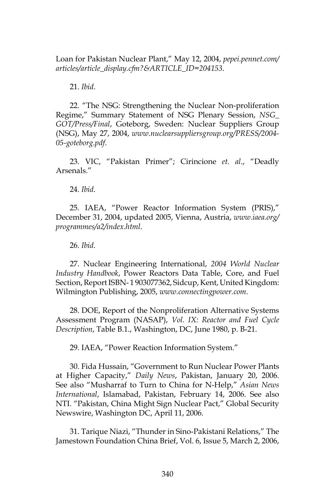Loan for Pakistan Nuclear Plant," May 12, 2004, *pepei.pennet.com/ articles/article\_display.cfm?&ARTICLE\_ID=204153*.

21. *Ibid*.

22. "The NSG: Strengthening the Nuclear Non-proliferation Regime," Summary Statement of NSG Plenary Session, *NSG\_ GOT/Press/Final*, Goteborg, Sweden: Nuclear Suppliers Group (NSG), May 27, 2004, *www.nuclearsuppliersgroup.org/PRESS/2004- 05-goteborg.pdf*.

23. VIC, "Pakistan Primer"; Cirincione *et. al*., "Deadly Arsenals."

24. *Ibid*.

25. IAEA, "Power Reactor Information System (PRIS)," December 31, 2004, updated 2005, Vienna, Austria, *www.iaea.org/ programmes/a2/index.html*.

26. *Ibid*.

27. Nuclear Engineering International, *2004 World Nuclear Industry Handbook*, Power Reactors Data Table, Core, and Fuel Section, Report ISBN- 1 903077362, Sidcup, Kent, United Kingdom: Wilmington Publishing, 2005, *www.connectingpower.com*.

28. DOE, Report of the Nonproliferation Alternative Systems Assessment Program (NASAP), *Vol. IX: Reactor and Fuel Cycle Description*, Table B.1., Washington, DC, June 1980, p. B-21.

29. IAEA, "Power Reaction Information System."

30. Fida Hussain, "Government to Run Nuclear Power Plants at Higher Capacity," *Daily News*, Pakistan, January 20, 2006. See also "Musharraf to Turn to China for N-Help," *Asian News International*, Islamabad, Pakistan, February 14, 2006. See also NTI. "Pakistan, China Might Sign Nuclear Pact," Global Security Newswire, Washington DC, April 11, 2006.

31. Tarique Niazi, "Thunder in Sino-Pakistani Relations," The Jamestown Foundation China Brief, Vol. 6, Issue 5, March 2, 2006,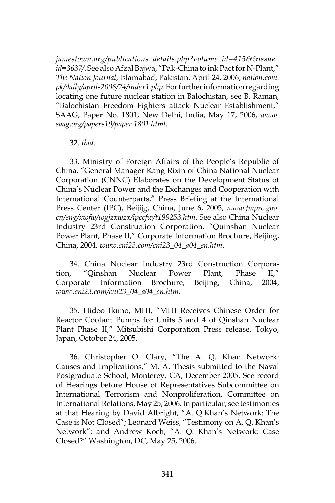*jamestown.org/publications\_details.php?volume\_id=415&&issue\_ id=3637/*. See also Afzal Bajwa, "Pak-China to ink Pact for N-Plant," *The Nation Journal*, Islamabad, Pakistan, April 24, 2006, *nation.com. pk/daily/april-2006/24/index1.php*. For further information regarding locating one future nuclear station in Balochistan, see B. Raman, "Balochistan Freedom Fighters attack Nuclear Establishment," SAAG, Paper No. 1801, New Delhi, India, May 17, 2006, *www. saag.org/papers19/paper 1801.html*.

32. *Ibid*.

33. Ministry of Foreign Affairs of the People's Republic of China, "General Manager Kang Rixin of China National Nuclear Corporation (CNNC) Elaborates on the Development Status of China's Nuclear Power and the Exchanges and Cooperation with International Counterparts," Press Briefing at the International Press Center (IPC), Beijijg, China, June 6, 2005, *www.fmprc.gov. cn/eng/xwfw/wgjzxwzx/ipccfw/t199253.htm*. See also China Nuclear Industry 23rd Construction Corporation, "Quinshan Nuclear Power Plant, Phase II," Corporate Information Brochure, Beijing, China, 2004, *www.cni23.com/cni23\_04\_a04\_en.htm*.

34. China Nuclear Industry 23rd Construction Corporation, "Qinshan Nuclear Power Plant, Phase II," Corporate Information Brochure, Beijing, China, 2004, *www.cni23.com/cni23\_04\_a04\_en.htm*.

35. Hideo Ikuno, MHI, "MHI Receives Chinese Order for Reactor Coolant Pumps for Units 3 and 4 of Qinshan Nuclear Plant Phase II," Mitsubishi Corporation Press release, Tokyo, Japan, October 24, 2005.

36. Christopher O. Clary, "The A. Q. Khan Network: Causes and Implications," M. A. Thesis submitted to the Naval Postgraduate School, Monterey, CA, December 2005. See record of Hearings before House of Representatives Subcommittee on International Terrorism and Nonproliferation, Committee on International Relations, May 25, 2006. In particular, see testimonies at that Hearing by David Albright, "A. Q.Khan's Network: The Case is Not Closed"; Leonard Weiss, "Testimony on A. Q. Khan's Network"; and Andrew Koch, "A. Q. Khan's Network: Case Closed?" Washington, DC, May 25, 2006.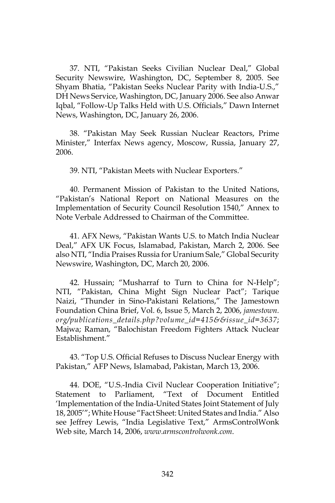37. NTI, "Pakistan Seeks Civilian Nuclear Deal," Global Security Newswire, Washington, DC, September 8, 2005. See Shyam Bhatia, "Pakistan Seeks Nuclear Parity with India-U.S.," DH News Service, Washington, DC, January 2006. See also Anwar Iqbal, "Follow-Up Talks Held with U.S. Officials," Dawn Internet News, Washington, DC, January 26, 2006.

38. "Pakistan May Seek Russian Nuclear Reactors, Prime Minister," Interfax News agency, Moscow, Russia, January 27, 2006.

39. NTI, "Pakistan Meets with Nuclear Exporters."

40. Permanent Mission of Pakistan to the United Nations, "Pakistan's National Report on National Measures on the Implementation of Security Council Resolution 1540," Annex to Note Verbale Addressed to Chairman of the Committee.

41. AFX News, "Pakistan Wants U.S. to Match India Nuclear Deal," AFX UK Focus, Islamabad, Pakistan, March 2, 2006. See also NTI, "India Praises Russia for Uranium Sale," Global Security Newswire, Washington, DC, March 20, 2006.

42. Hussain; "Musharraf to Turn to China for N-Help"; NTI, "Pakistan, China Might Sign Nuclear Pact"; Tarique Naizi, "Thunder in Sino-Pakistani Relations," The Jamestown Foundation China Brief, Vol. 6, Issue 5, March 2, 2006, *jamestown. org/publications\_details.php?volume\_id=415&&issue\_id=3637*; Majwa; Raman, "Balochistan Freedom Fighters Attack Nuclear Establishment."

43. "Top U.S. Official Refuses to Discuss Nuclear Energy with Pakistan," AFP News, Islamabad, Pakistan, March 13, 2006.

44. DOE, "U.S.-India Civil Nuclear Cooperation Initiative"; Statement to Parliament, "Text of Document Entitled 'Implementation of the India-United States Joint Statement of July 18, 2005'"; White House "Fact Sheet: United States and India." Also see Jeffrey Lewis, "India Legislative Text," ArmsControlWonk Web site, March 14, 2006, *www.armscontrolwonk.com*.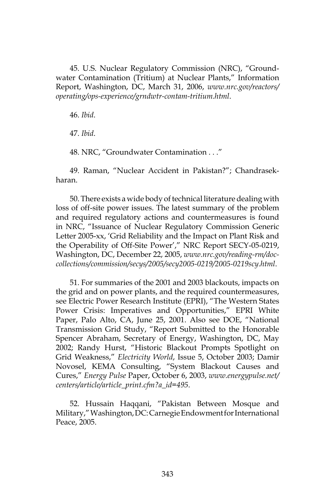45. U.S. Nuclear Regulatory Commission (NRC), "Groundwater Contamination (Tritium) at Nuclear Plants," Information Report, Washington, DC, March 31, 2006, *www.nrc.gov/reactors/ operating/ops-experience/grndwtr-contam-tritium.html*.

46. *Ibid*.

47. *Ibid*.

48. NRC, "Groundwater Contamination . . ."

49. Raman, "Nuclear Accident in Pakistan?"; Chandrasekharan.

50. There exists a wide body of technical literature dealing with loss of off-site power issues. The latest summary of the problem and required regulatory actions and countermeasures is found in NRC, "Issuance of Nuclear Regulatory Commission Generic Letter 2005-xx, 'Grid Reliability and the Impact on Plant Risk and the Operability of Off-Site Power'," NRC Report SECY-05-0219, Washington, DC, December 22, 2005, *www.nrc.gov/reading-rm/doccollections/commission/secys/2005/secy2005-0219/2005-0219scy.html*.

51. For summaries of the 2001 and 2003 blackouts, impacts on the grid and on power plants, and the required countermeasures, see Electric Power Research Institute (EPRI), "The Western States Power Crisis: Imperatives and Opportunities," EPRI White Paper, Palo Alto, CA, June 25, 2001. Also see DOE, "National Transmission Grid Study, "Report Submitted to the Honorable Spencer Abraham, Secretary of Energy, Washington, DC, May 2002; Randy Hurst, "Historic Blackout Prompts Spotlight on Grid Weakness," *Electricity World*, Issue 5, October 2003; Damir Novosel, KEMA Consulting, "System Blackout Causes and Cures," *Energy Pulse* Paper, October 6, 2003, *www.energypulse.net/ centers/article/article\_print.cfm?a\_id=495*.

52. Hussain Haqqani, "Pakistan Between Mosque and Military," Washington, DC: Carnegie Endowment for International Peace, 2005.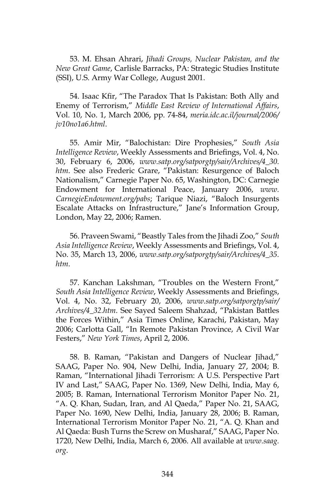53. M. Ehsan Ahrari, *Jihadi Groups, Nuclear Pakistan, and the New Great Game*, Carlisle Barracks, PA: Strategic Studies Institute (SSI), U.S. Army War College, August 2001.

54. Isaac Kfir, "The Paradox That Is Pakistan: Both Ally and Enemy of Terrorism," *Middle East Review of International Affairs*, Vol. 10, No. 1, March 2006, pp. 74-84, *meria.idc.ac.il/journal/2006/ jv10no1a6.html*.

55. Amir Mir, "Balochistan: Dire Prophesies," *South Asia Intelligence Review*, Weekly Assessments and Briefings, Vol. 4, No. 30, February 6, 2006, *www.satp.org/satporgtp/sair/Archives/4\_30. htm*. See also Frederic Grare, "Pakistan: Resurgence of Baloch Nationalism," Carnegie Paper No. 65, Washington, DC: Carnegie Endowment for International Peace, January 2006, *www. CarnegieEndowment.org/pabs*; Tarique Niazi, "Baloch Insurgents Escalate Attacks on Infrastructure," Jane's Information Group, London, May 22, 2006; Ramen.

56. Praveen Swami, "Beastly Tales from the Jihadi Zoo," *South Asia Intelligence Review*, Weekly Assessments and Briefings, Vol. 4, No. 35, March 13, 2006, *www.satp.org/satporgtp/sair/Archives/4\_35. htm*.

57. Kanchan Lakshman, "Troubles on the Western Front," *South Asia Intelligence Review*, Weekly Assessments and Briefings, Vol. 4, No. 32, February 20, 2006, *www.satp.org/satporgtp/sair/ Archives/4\_32.htm*. See Sayed Saleem Shahzad, "Pakistan Battles the Forces Within," Asia Times Online, Karachi, Pakistan, May 2006; Carlotta Gall, "In Remote Pakistan Province, A Civil War Festers," *New York Times*, April 2, 2006.

58. B. Raman, "Pakistan and Dangers of Nuclear Jihad," SAAG, Paper No. 904, New Delhi, India, January 27, 2004; B. Raman, "International Jihadi Terrorism: A U.S. Perspective Part IV and Last," SAAG, Paper No. 1369, New Delhi, India, May 6, 2005; B. Raman, International Terrorism Monitor Paper No. 21, "A. Q. Khan, Sudan, Iran, and Al Qaeda," Paper No. 21, SAAG, Paper No. 1690, New Delhi, India, January 28, 2006; B. Raman, International Terrorism Monitor Paper No. 21, "A. Q. Khan and Al Qaeda: Bush Turns the Screw on Musharaf," SAAG, Paper No. 1720, New Delhi, India, March 6, 2006. All available at *www.saag. org*.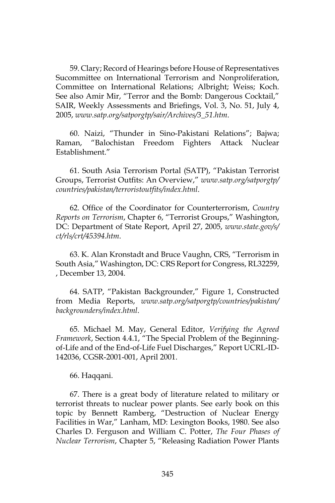59. Clary; Record of Hearings before House of Representatives Sucommittee on International Terrorism and Nonproliferation, Committee on International Relations; Albright; Weiss; Koch. See also Amir Mir, "Terror and the Bomb: Dangerous Cocktail," SAIR, Weekly Assessments and Briefings, Vol. 3, No. 51, July 4, 2005, *www.satp.org/satporgtp/sair/Archives/3\_51.htm*.

60. Naizi, "Thunder in Sino-Pakistani Relations"; Bajwa; Raman, "Balochistan Freedom Fighters Attack Nuclear Establishment."

61. South Asia Terrorism Portal (SATP), "Pakistan Terrorist Groups, Terrorist Outfits: An Overview," *www.satp.org/satporgtp/ countries/pakistan/terroristoutfits/index.html*.

62. Office of the Coordinator for Counterterrorism, *Country Reports on Terrorism*, Chapter 6, "Terrorist Groups," Washington, DC: Department of State Report, April 27, 2005, *www.state.gov/s/ ct/rls/crt/45394.htm*.

63. K. Alan Kronstadt and Bruce Vaughn, CRS, "Terrorism in South Asia," Washington, DC: CRS Report for Congress, RL32259, , December 13, 2004.

64. SATP, "Pakistan Backgrounder," Figure 1, Constructed from Media Reports, *www.satp.org/satporgtp/countries/pakistan/ backgrounders/index.html*.

65. Michael M. May, General Editor, *Verifying the Agreed Framework*, Section 4.4.1, "The Special Problem of the Beginningof-Life and of the End-of-Life Fuel Discharges," Report UCRL-ID-142036, CGSR-2001-001, April 2001.

#### 66. Haqqani.

67. There is a great body of literature related to military or terrorist threats to nuclear power plants. See early book on this topic by Bennett Ramberg, "Destruction of Nuclear Energy Facilities in War," Lanham, MD: Lexington Books, 1980. See also Charles D. Ferguson and William C. Potter, *The Four Phases of Nuclear Terrorism*, Chapter 5, "Releasing Radiation Power Plants